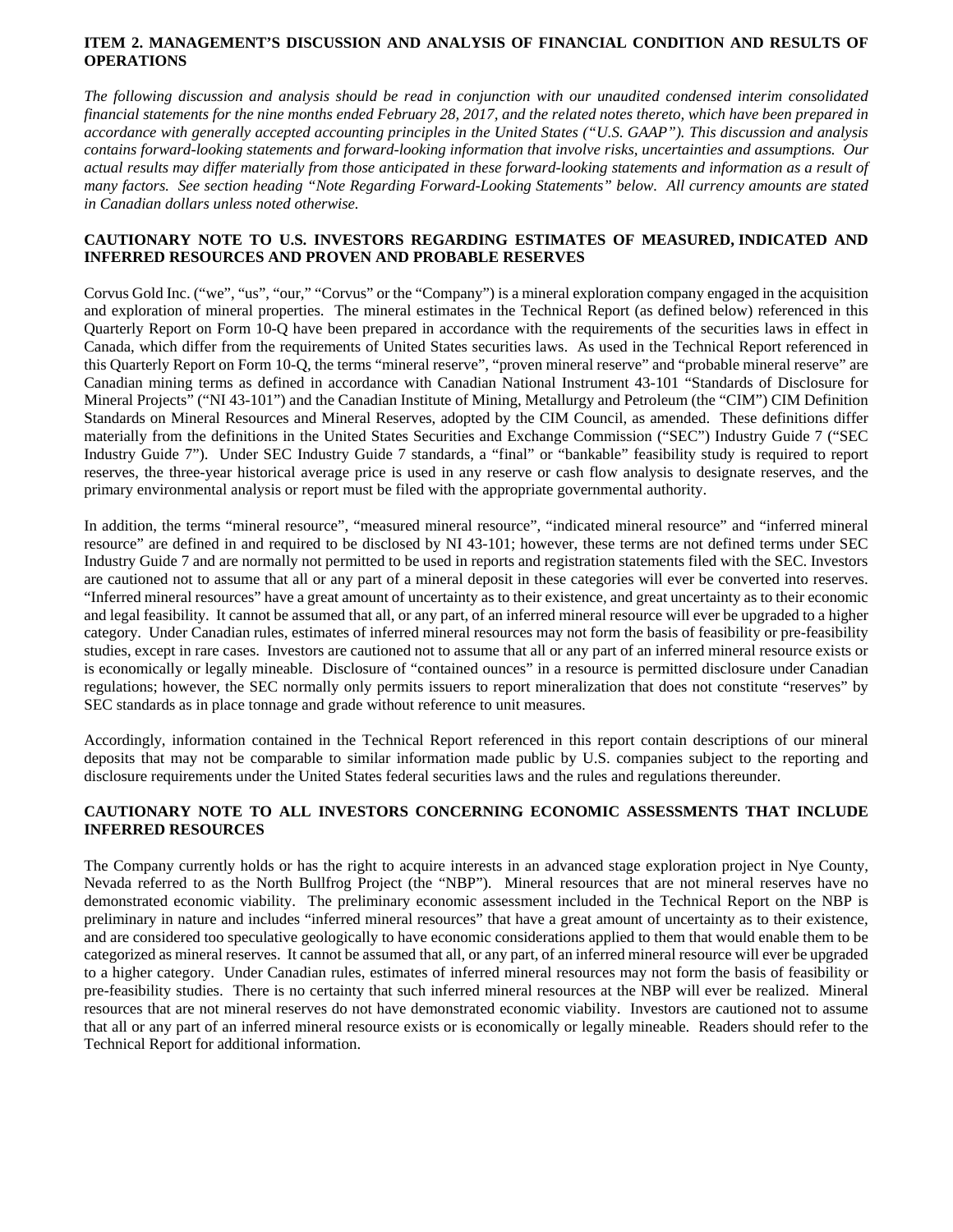# **ITEM 2. MANAGEMENT'S DISCUSSION AND ANALYSIS OF FINANCIAL CONDITION AND RESULTS OF OPERATIONS**

*The following discussion and analysis should be read in conjunction with our unaudited condensed interim consolidated financial statements for the nine months ended February 28, 2017, and the related notes thereto, which have been prepared in accordance with generally accepted accounting principles in the United States ("U.S. GAAP"). This discussion and analysis contains forward-looking statements and forward-looking information that involve risks, uncertainties and assumptions. Our actual results may differ materially from those anticipated in these forward-looking statements and information as a result of many factors. See section heading "Note Regarding Forward-Looking Statements" below. All currency amounts are stated in Canadian dollars unless noted otherwise.* 

# **CAUTIONARY NOTE TO U.S. INVESTORS REGARDING ESTIMATES OF MEASURED, INDICATED AND INFERRED RESOURCES AND PROVEN AND PROBABLE RESERVES**

Corvus Gold Inc. ("we", "us", "our," "Corvus" or the "Company") is a mineral exploration company engaged in the acquisition and exploration of mineral properties. The mineral estimates in the Technical Report (as defined below) referenced in this Quarterly Report on Form 10-Q have been prepared in accordance with the requirements of the securities laws in effect in Canada, which differ from the requirements of United States securities laws. As used in the Technical Report referenced in this Quarterly Report on Form 10-Q, the terms "mineral reserve", "proven mineral reserve" and "probable mineral reserve" are Canadian mining terms as defined in accordance with Canadian National Instrument 43-101 "Standards of Disclosure for Mineral Projects" ("NI 43-101") and the Canadian Institute of Mining, Metallurgy and Petroleum (the "CIM") CIM Definition Standards on Mineral Resources and Mineral Reserves, adopted by the CIM Council, as amended. These definitions differ materially from the definitions in the United States Securities and Exchange Commission ("SEC") Industry Guide 7 ("SEC Industry Guide 7"). Under SEC Industry Guide 7 standards, a "final" or "bankable" feasibility study is required to report reserves, the three-year historical average price is used in any reserve or cash flow analysis to designate reserves, and the primary environmental analysis or report must be filed with the appropriate governmental authority.

In addition, the terms "mineral resource", "measured mineral resource", "indicated mineral resource" and "inferred mineral resource" are defined in and required to be disclosed by NI 43-101; however, these terms are not defined terms under SEC Industry Guide 7 and are normally not permitted to be used in reports and registration statements filed with the SEC. Investors are cautioned not to assume that all or any part of a mineral deposit in these categories will ever be converted into reserves. "Inferred mineral resources" have a great amount of uncertainty as to their existence, and great uncertainty as to their economic and legal feasibility. It cannot be assumed that all, or any part, of an inferred mineral resource will ever be upgraded to a higher category. Under Canadian rules, estimates of inferred mineral resources may not form the basis of feasibility or pre-feasibility studies, except in rare cases. Investors are cautioned not to assume that all or any part of an inferred mineral resource exists or is economically or legally mineable. Disclosure of "contained ounces" in a resource is permitted disclosure under Canadian regulations; however, the SEC normally only permits issuers to report mineralization that does not constitute "reserves" by SEC standards as in place tonnage and grade without reference to unit measures.

Accordingly, information contained in the Technical Report referenced in this report contain descriptions of our mineral deposits that may not be comparable to similar information made public by U.S. companies subject to the reporting and disclosure requirements under the United States federal securities laws and the rules and regulations thereunder.

# **CAUTIONARY NOTE TO ALL INVESTORS CONCERNING ECONOMIC ASSESSMENTS THAT INCLUDE INFERRED RESOURCES**

The Company currently holds or has the right to acquire interests in an advanced stage exploration project in Nye County, Nevada referred to as the North Bullfrog Project (the "NBP"). Mineral resources that are not mineral reserves have no demonstrated economic viability. The preliminary economic assessment included in the Technical Report on the NBP is preliminary in nature and includes "inferred mineral resources" that have a great amount of uncertainty as to their existence, and are considered too speculative geologically to have economic considerations applied to them that would enable them to be categorized as mineral reserves. It cannot be assumed that all, or any part, of an inferred mineral resource will ever be upgraded to a higher category. Under Canadian rules, estimates of inferred mineral resources may not form the basis of feasibility or pre-feasibility studies. There is no certainty that such inferred mineral resources at the NBP will ever be realized. Mineral resources that are not mineral reserves do not have demonstrated economic viability. Investors are cautioned not to assume that all or any part of an inferred mineral resource exists or is economically or legally mineable. Readers should refer to the Technical Report for additional information.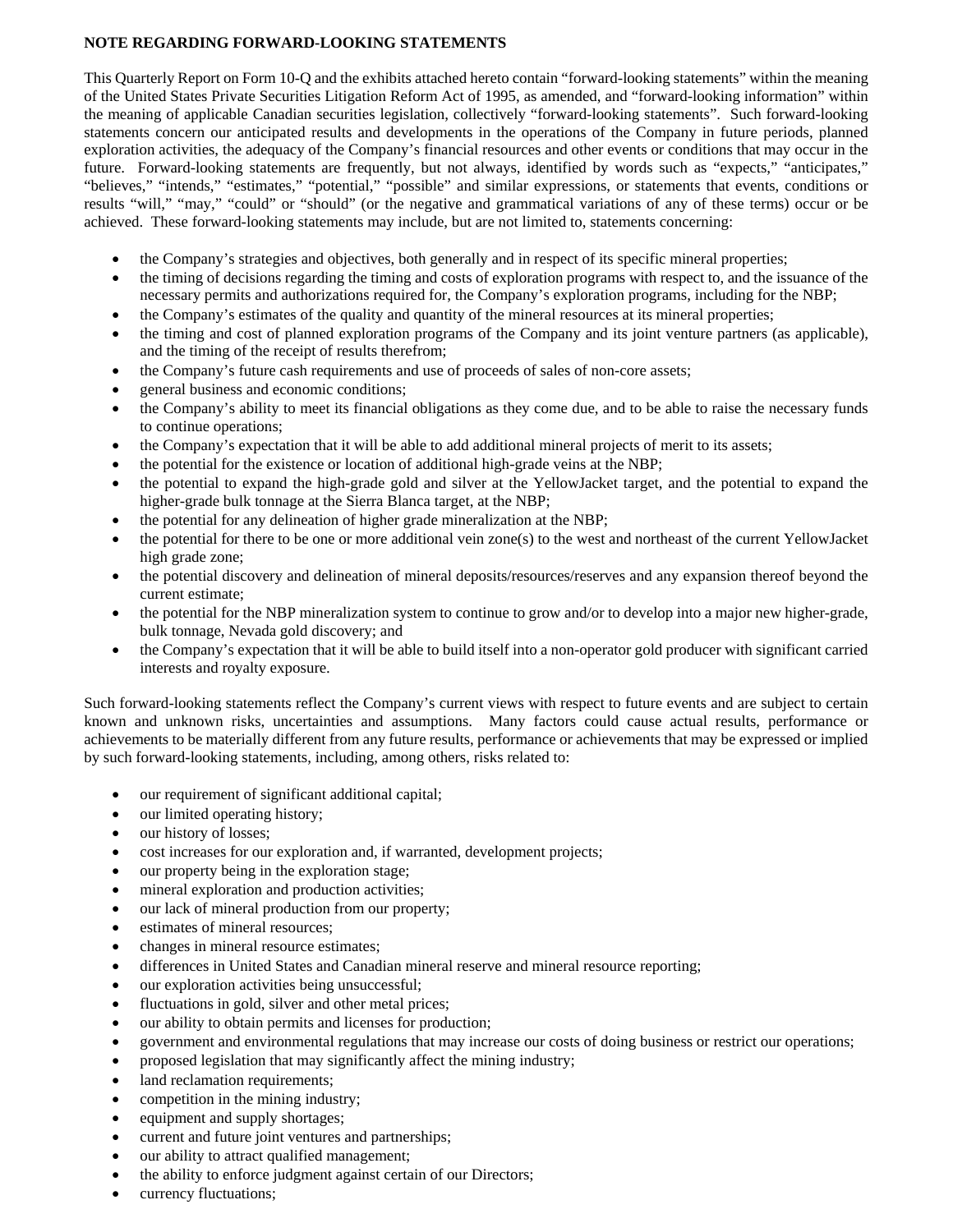# **NOTE REGARDING FORWARD-LOOKING STATEMENTS**

This Quarterly Report on Form 10-Q and the exhibits attached hereto contain "forward-looking statements" within the meaning of the United States Private Securities Litigation Reform Act of 1995, as amended, and "forward-looking information" within the meaning of applicable Canadian securities legislation, collectively "forward-looking statements". Such forward-looking statements concern our anticipated results and developments in the operations of the Company in future periods, planned exploration activities, the adequacy of the Company's financial resources and other events or conditions that may occur in the future. Forward-looking statements are frequently, but not always, identified by words such as "expects," "anticipates," "believes," "intends," "estimates," "potential," "possible" and similar expressions, or statements that events, conditions or results "will," "may," "could" or "should" (or the negative and grammatical variations of any of these terms) occur or be achieved. These forward-looking statements may include, but are not limited to, statements concerning:

- the Company's strategies and objectives, both generally and in respect of its specific mineral properties;
- the timing of decisions regarding the timing and costs of exploration programs with respect to, and the issuance of the necessary permits and authorizations required for, the Company's exploration programs, including for the NBP;
- the Company's estimates of the quality and quantity of the mineral resources at its mineral properties;
- the timing and cost of planned exploration programs of the Company and its joint venture partners (as applicable), and the timing of the receipt of results therefrom;
- the Company's future cash requirements and use of proceeds of sales of non-core assets;
- general business and economic conditions;
- the Company's ability to meet its financial obligations as they come due, and to be able to raise the necessary funds to continue operations;
- the Company's expectation that it will be able to add additional mineral projects of merit to its assets;
- the potential for the existence or location of additional high-grade veins at the NBP;
- the potential to expand the high-grade gold and silver at the YellowJacket target, and the potential to expand the higher-grade bulk tonnage at the Sierra Blanca target, at the NBP;
- the potential for any delineation of higher grade mineralization at the NBP;
- the potential for there to be one or more additional vein zone(s) to the west and northeast of the current YellowJacket high grade zone;
- the potential discovery and delineation of mineral deposits/resources/reserves and any expansion thereof beyond the current estimate;
- the potential for the NBP mineralization system to continue to grow and/or to develop into a major new higher-grade, bulk tonnage, Nevada gold discovery; and
- the Company's expectation that it will be able to build itself into a non-operator gold producer with significant carried interests and royalty exposure.

Such forward-looking statements reflect the Company's current views with respect to future events and are subject to certain known and unknown risks, uncertainties and assumptions. Many factors could cause actual results, performance or achievements to be materially different from any future results, performance or achievements that may be expressed or implied by such forward-looking statements, including, among others, risks related to:

- our requirement of significant additional capital;
- our limited operating history;
- our history of losses;
- cost increases for our exploration and, if warranted, development projects;
- our property being in the exploration stage;
- mineral exploration and production activities;
- our lack of mineral production from our property;
- estimates of mineral resources;
- changes in mineral resource estimates;
- differences in United States and Canadian mineral reserve and mineral resource reporting;
- our exploration activities being unsuccessful;
- fluctuations in gold, silver and other metal prices;
- our ability to obtain permits and licenses for production;
- government and environmental regulations that may increase our costs of doing business or restrict our operations;
- proposed legislation that may significantly affect the mining industry;
- land reclamation requirements;
- competition in the mining industry;
- equipment and supply shortages;
- current and future joint ventures and partnerships;
- our ability to attract qualified management;
- the ability to enforce judgment against certain of our Directors;
- currency fluctuations;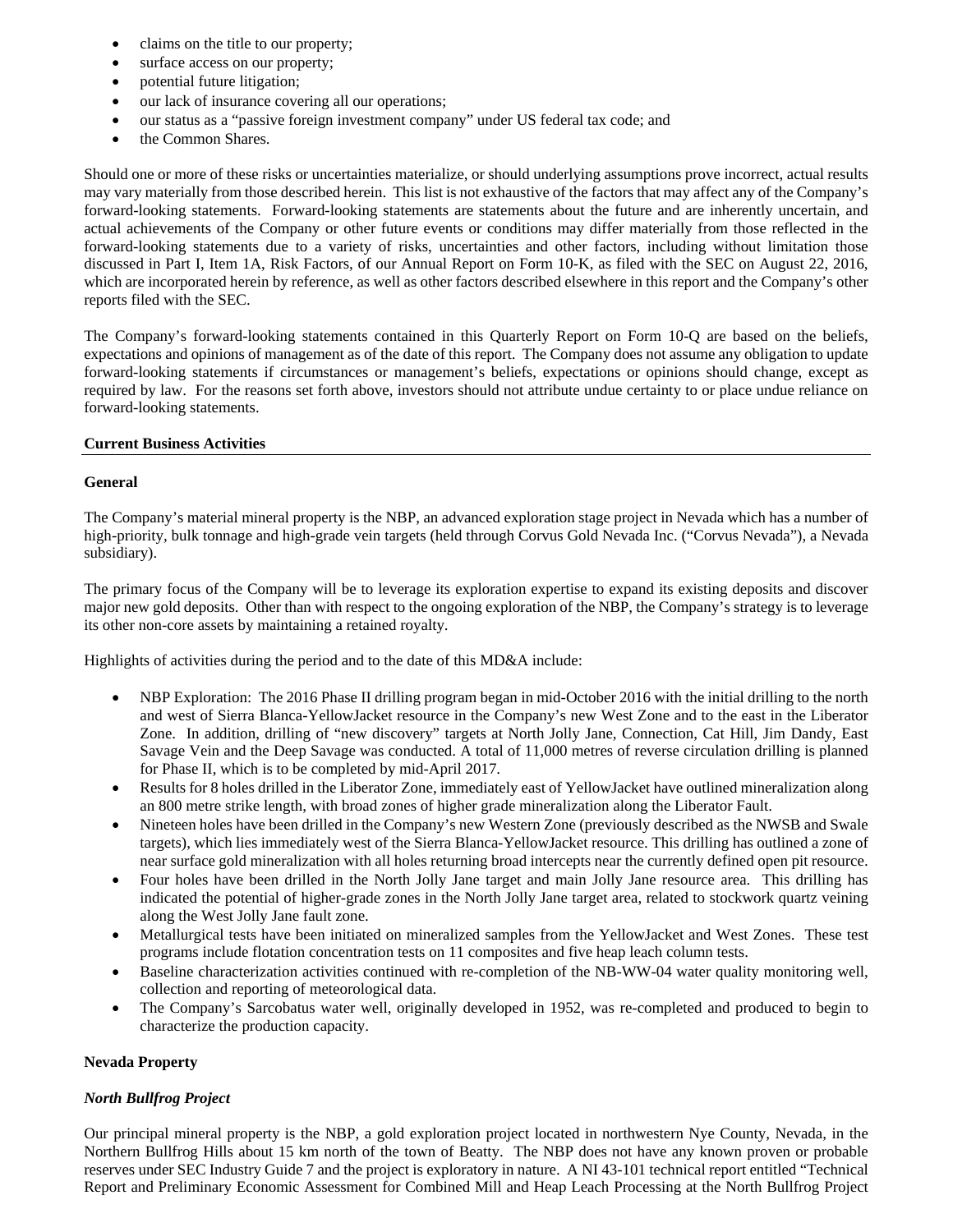- claims on the title to our property;
- surface access on our property;
- potential future litigation;
- our lack of insurance covering all our operations;
- our status as a "passive foreign investment company" under US federal tax code; and
- the Common Shares.

Should one or more of these risks or uncertainties materialize, or should underlying assumptions prove incorrect, actual results may vary materially from those described herein. This list is not exhaustive of the factors that may affect any of the Company's forward-looking statements. Forward-looking statements are statements about the future and are inherently uncertain, and actual achievements of the Company or other future events or conditions may differ materially from those reflected in the forward-looking statements due to a variety of risks, uncertainties and other factors, including without limitation those discussed in Part I, Item 1A, Risk Factors, of our Annual Report on Form 10-K, as filed with the SEC on August 22, 2016, which are incorporated herein by reference, as well as other factors described elsewhere in this report and the Company's other reports filed with the SEC.

The Company's forward-looking statements contained in this Quarterly Report on Form 10-Q are based on the beliefs, expectations and opinions of management as of the date of this report. The Company does not assume any obligation to update forward-looking statements if circumstances or management's beliefs, expectations or opinions should change, except as required by law. For the reasons set forth above, investors should not attribute undue certainty to or place undue reliance on forward-looking statements.

### **Current Business Activities**

### **General**

The Company's material mineral property is the NBP, an advanced exploration stage project in Nevada which has a number of high-priority, bulk tonnage and high-grade vein targets (held through Corvus Gold Nevada Inc. ("Corvus Nevada"), a Nevada subsidiary).

The primary focus of the Company will be to leverage its exploration expertise to expand its existing deposits and discover major new gold deposits. Other than with respect to the ongoing exploration of the NBP, the Company's strategy is to leverage its other non-core assets by maintaining a retained royalty.

Highlights of activities during the period and to the date of this MD&A include:

- NBP Exploration: The 2016 Phase II drilling program began in mid-October 2016 with the initial drilling to the north and west of Sierra Blanca-YellowJacket resource in the Company's new West Zone and to the east in the Liberator Zone. In addition, drilling of "new discovery" targets at North Jolly Jane, Connection, Cat Hill, Jim Dandy, East Savage Vein and the Deep Savage was conducted. A total of 11,000 metres of reverse circulation drilling is planned for Phase II, which is to be completed by mid-April 2017.
- Results for 8 holes drilled in the Liberator Zone, immediately east of YellowJacket have outlined mineralization along an 800 metre strike length, with broad zones of higher grade mineralization along the Liberator Fault.
- Nineteen holes have been drilled in the Company's new Western Zone (previously described as the NWSB and Swale targets), which lies immediately west of the Sierra Blanca-YellowJacket resource. This drilling has outlined a zone of near surface gold mineralization with all holes returning broad intercepts near the currently defined open pit resource.
- Four holes have been drilled in the North Jolly Jane target and main Jolly Jane resource area. This drilling has indicated the potential of higher-grade zones in the North Jolly Jane target area, related to stockwork quartz veining along the West Jolly Jane fault zone.
- Metallurgical tests have been initiated on mineralized samples from the YellowJacket and West Zones. These test programs include flotation concentration tests on 11 composites and five heap leach column tests.
- Baseline characterization activities continued with re-completion of the NB-WW-04 water quality monitoring well, collection and reporting of meteorological data.
- The Company's Sarcobatus water well, originally developed in 1952, was re-completed and produced to begin to characterize the production capacity.

# **Nevada Property**

# *North Bullfrog Project*

Our principal mineral property is the NBP, a gold exploration project located in northwestern Nye County, Nevada, in the Northern Bullfrog Hills about 15 km north of the town of Beatty. The NBP does not have any known proven or probable reserves under SEC Industry Guide 7 and the project is exploratory in nature. A NI 43-101 technical report entitled "Technical Report and Preliminary Economic Assessment for Combined Mill and Heap Leach Processing at the North Bullfrog Project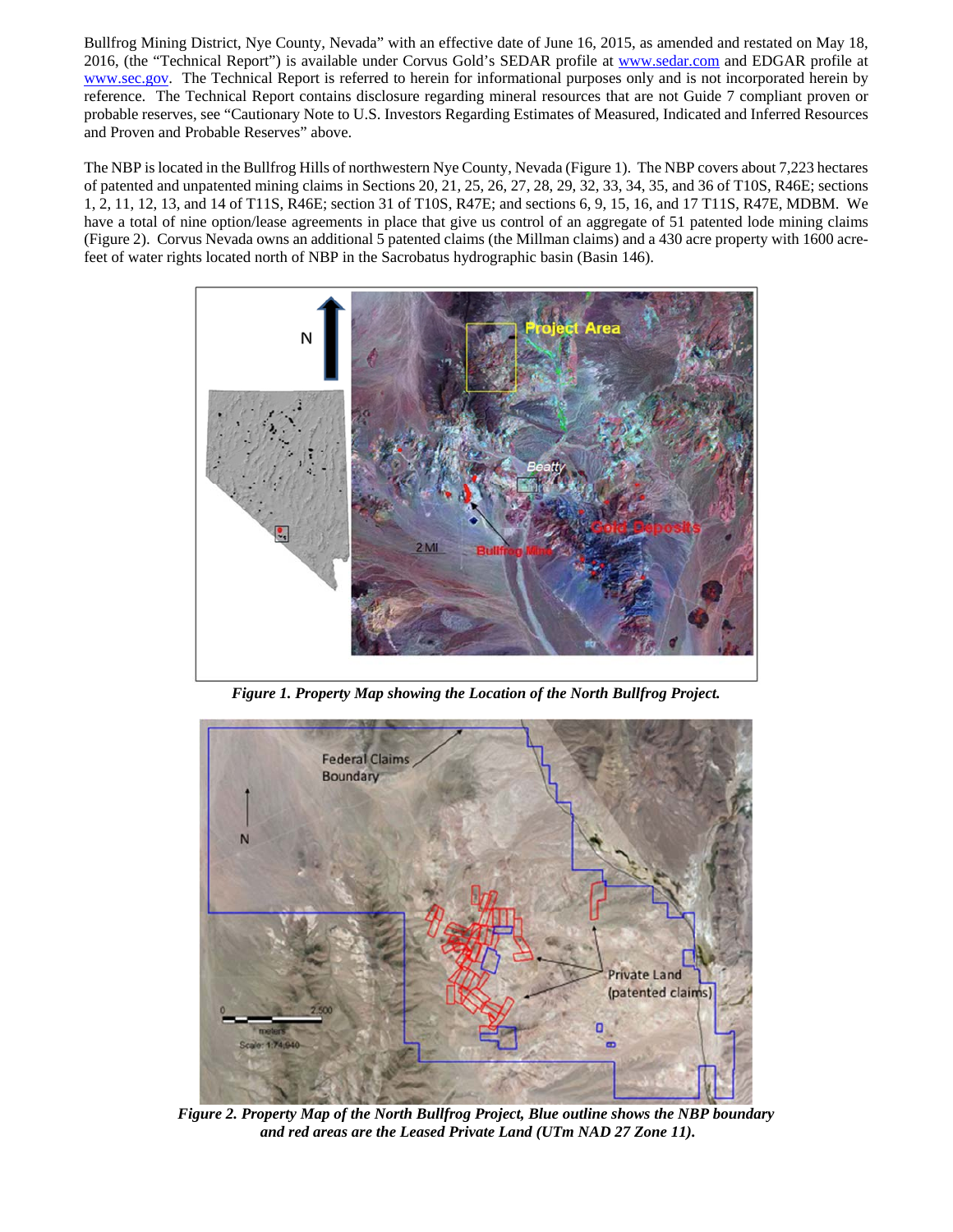Bullfrog Mining District, Nye County, Nevada" with an effective date of June 16, 2015, as amended and restated on May 18, 2016, (the "Technical Report") is available under Corvus Gold's SEDAR profile at www.sedar.com and EDGAR profile at www.sec.gov. The Technical Report is referred to herein for informational purposes only and is not incorporated herein by reference. The Technical Report contains disclosure regarding mineral resources that are not Guide 7 compliant proven or probable reserves, see "Cautionary Note to U.S. Investors Regarding Estimates of Measured, Indicated and Inferred Resources and Proven and Probable Reserves" above.

The NBP is located in the Bullfrog Hills of northwestern Nye County, Nevada (Figure 1). The NBP covers about 7,223 hectares of patented and unpatented mining claims in Sections 20, 21, 25, 26, 27, 28, 29, 32, 33, 34, 35, and 36 of T10S, R46E; sections 1, 2, 11, 12, 13, and 14 of T11S, R46E; section 31 of T10S, R47E; and sections 6, 9, 15, 16, and 17 T11S, R47E, MDBM. We have a total of nine option/lease agreements in place that give us control of an aggregate of 51 patented lode mining claims (Figure 2). Corvus Nevada owns an additional 5 patented claims (the Millman claims) and a 430 acre property with 1600 acrefeet of water rights located north of NBP in the Sacrobatus hydrographic basin (Basin 146).



*Figure 1. Property Map showing the Location of the North Bullfrog Project.* 



*Figure 2. Property Map of the North Bullfrog Project, Blue outline shows the NBP boundary and red areas are the Leased Private Land (UTm NAD 27 Zone 11).*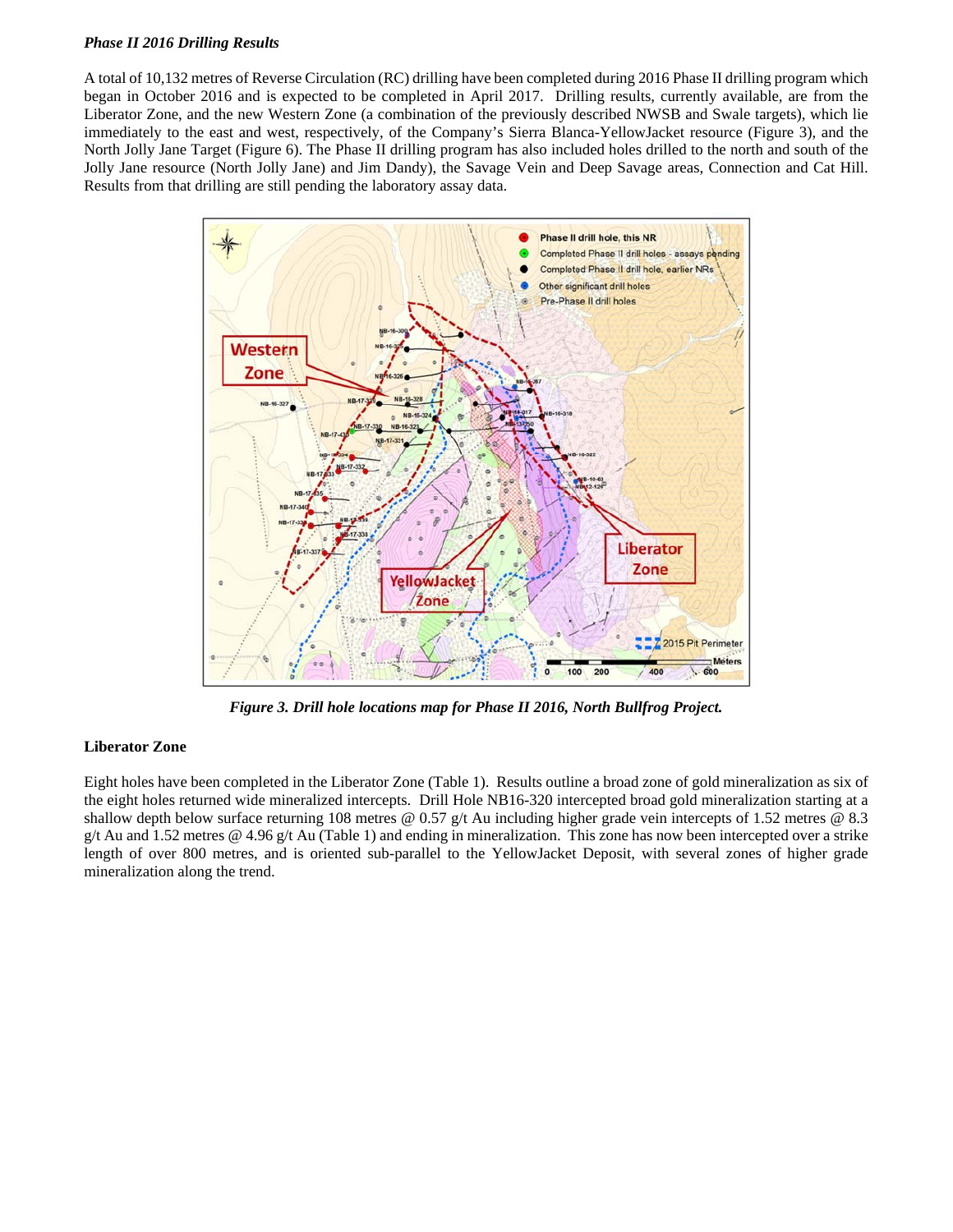# *Phase II 2016 Drilling Results*

A total of 10,132 metres of Reverse Circulation (RC) drilling have been completed during 2016 Phase II drilling program which began in October 2016 and is expected to be completed in April 2017. Drilling results, currently available, are from the Liberator Zone, and the new Western Zone (a combination of the previously described NWSB and Swale targets), which lie immediately to the east and west, respectively, of the Company's Sierra Blanca-YellowJacket resource (Figure 3), and the North Jolly Jane Target (Figure 6). The Phase II drilling program has also included holes drilled to the north and south of the Jolly Jane resource (North Jolly Jane) and Jim Dandy), the Savage Vein and Deep Savage areas, Connection and Cat Hill. Results from that drilling are still pending the laboratory assay data.



*Figure 3. Drill hole locations map for Phase II 2016, North Bullfrog Project.* 

# **Liberator Zone**

Eight holes have been completed in the Liberator Zone (Table 1). Results outline a broad zone of gold mineralization as six of the eight holes returned wide mineralized intercepts. Drill Hole NB16-320 intercepted broad gold mineralization starting at a shallow depth below surface returning 108 metres @ 0.57 g/t Au including higher grade vein intercepts of 1.52 metres @ 8.3 g/t Au and 1.52 metres @ 4.96 g/t Au (Table 1) and ending in mineralization. This zone has now been intercepted over a strike length of over 800 metres, and is oriented sub-parallel to the YellowJacket Deposit, with several zones of higher grade mineralization along the trend.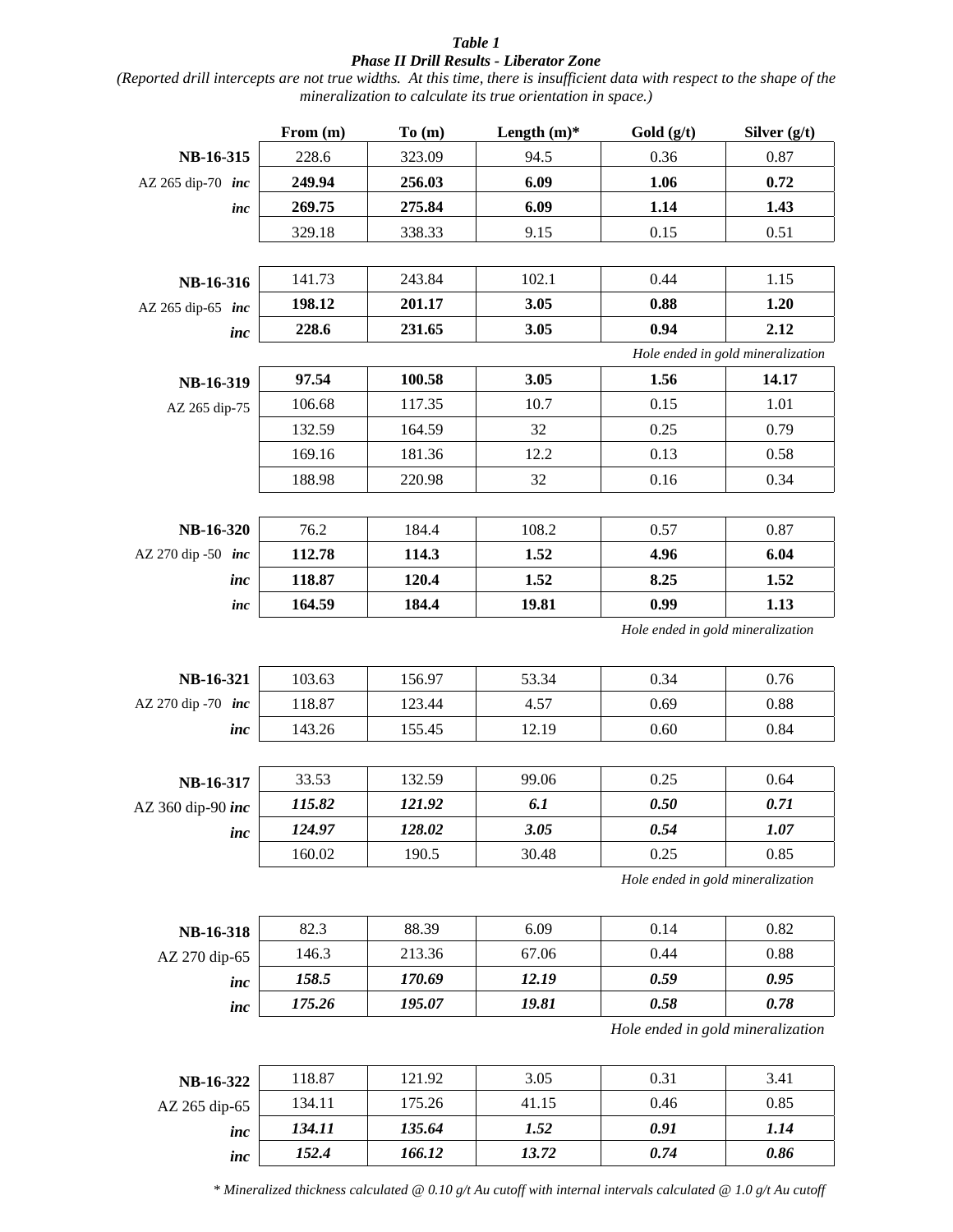# *Table 1 Phase II Drill Results - Liberator Zone*

*(Reported drill intercepts are not true widths. At this time, there is insufficient data with respect to the shape of the mineralization to calculate its true orientation in space.)* 

|                    | From (m) | To(m)  | Length $(m)$ * | Gold (g/t)                        | Silver $(g/t)$                    |
|--------------------|----------|--------|----------------|-----------------------------------|-----------------------------------|
| NB-16-315          | 228.6    | 323.09 | 94.5           | 0.36                              | 0.87                              |
| AZ 265 dip-70 inc  | 249.94   | 256.03 | 6.09           | 1.06                              | 0.72                              |
| inc                | 269.75   | 275.84 | 6.09           | 1.14                              | 1.43                              |
|                    | 329.18   | 338.33 | 9.15           | 0.15                              | 0.51                              |
|                    |          |        |                |                                   |                                   |
| NB-16-316          | 141.73   | 243.84 | 102.1          | 0.44                              | 1.15                              |
| AZ 265 dip-65 inc  | 198.12   | 201.17 | 3.05           | 0.88                              | 1.20                              |
| inc                | 228.6    | 231.65 | 3.05           | 0.94                              | 2.12                              |
|                    |          |        |                |                                   | Hole ended in gold mineralization |
| NB-16-319          | 97.54    | 100.58 | 3.05           | 1.56                              | 14.17                             |
| AZ 265 dip-75      | 106.68   | 117.35 | 10.7           | 0.15                              | 1.01                              |
|                    | 132.59   | 164.59 | 32             | 0.25                              | 0.79                              |
|                    | 169.16   | 181.36 | 12.2           | 0.13                              | 0.58                              |
|                    | 188.98   | 220.98 | 32             | 0.16                              | 0.34                              |
|                    |          |        |                |                                   |                                   |
| NB-16-320          | 76.2     | 184.4  | 108.2          | 0.57                              | 0.87                              |
| AZ 270 dip -50 inc | 112.78   | 114.3  | 1.52           | 4.96                              | 6.04                              |
| inc                | 118.87   | 120.4  | 1.52           | 8.25                              | 1.52                              |
| inc                | 164.59   | 184.4  | 19.81          | 0.99                              | 1.13                              |
|                    |          |        |                | Hole ended in gold mineralization |                                   |
| NB-16-321          | 103.63   | 156.97 | 53.34          | 0.34                              | 0.76                              |
| AZ 270 dip -70 inc | 118.87   | 123.44 | 4.57           | 0.69                              | 0.88                              |
| inc                | 143.26   | 155.45 | 12.19          | 0.60                              | 0.84                              |
|                    |          |        |                |                                   |                                   |
| NB-16-317          | 33.53    | 132.59 | 99.06          | 0.25                              | 0.64                              |
| AZ 360 dip-90 inc  | 115.82   | 121.92 | 6.1            | 0.50                              | 0.71                              |
| inc                | 124.97   | 128.02 | 3.05           | 0.54                              | 1.07                              |
|                    | 160.02   | 190.5  | 30.48          | 0.25                              | 0.85                              |
|                    |          |        |                | Hole ended in gold mineralization |                                   |
| NB-16-318          | 82.3     | 88.39  | 6.09           | 0.14                              | 0.82                              |
| AZ 270 dip-65      | 146.3    | 213.36 | 67.06          | 0.44                              | 0.88                              |
| inc                | 158.5    | 170.69 | 12.19          | 0.59                              | 0.95                              |
| inc                | 175.26   | 195.07 | 19.81          | 0.58                              | 0.78                              |
|                    |          |        |                | Hole ended in gold mineralization |                                   |
| NB-16-322          | 118.87   | 121.92 | 3.05           | 0.31                              | 3.41                              |
| AZ 265 dip-65      | 134.11   | 175.26 | 41.15          | 0.46                              | 0.85                              |
| inc                | 134.11   | 135.64 | 1.52           | 0.91                              | 1.14                              |

*\* Mineralized thickness calculated @ 0.10 g/t Au cutoff with internal intervals calculated @ 1.0 g/t Au cutoff*

*inc 152.4 166.12 13.72 0.74 0.86*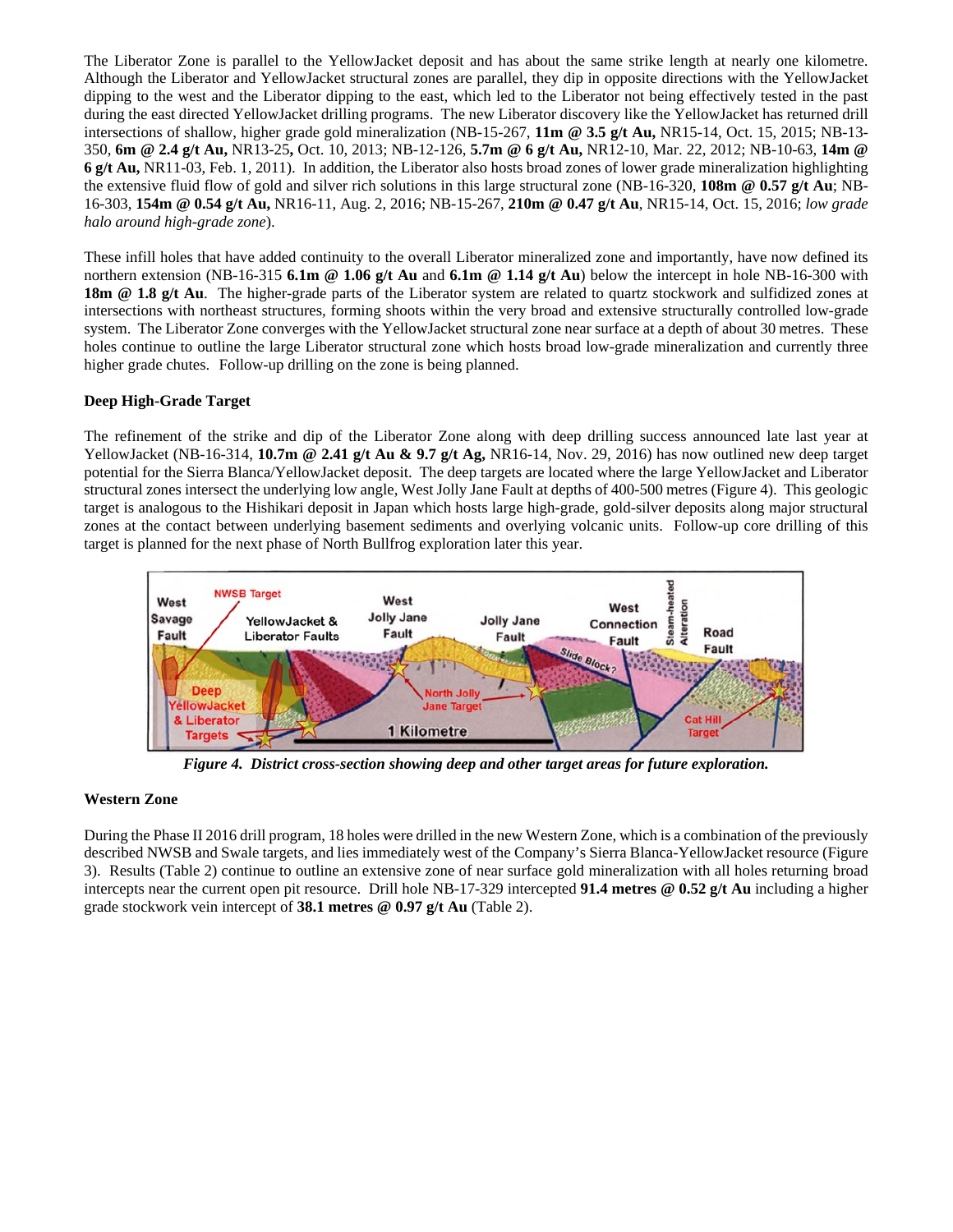The Liberator Zone is parallel to the YellowJacket deposit and has about the same strike length at nearly one kilometre. Although the Liberator and YellowJacket structural zones are parallel, they dip in opposite directions with the YellowJacket dipping to the west and the Liberator dipping to the east, which led to the Liberator not being effectively tested in the past during the east directed YellowJacket drilling programs. The new Liberator discovery like the YellowJacket has returned drill intersections of shallow, higher grade gold mineralization (NB-15-267, **11m @ 3.5 g/t Au,** NR15-14, Oct. 15, 2015; NB-13- 350, **6m @ 2.4 g/t Au,** NR13-25**,** Oct. 10, 2013; NB-12-126, **5.7m @ 6 g/t Au,** NR12-10, Mar. 22, 2012; NB-10-63, **14m @ 6 g/t Au,** NR11-03, Feb. 1, 2011). In addition, the Liberator also hosts broad zones of lower grade mineralization highlighting the extensive fluid flow of gold and silver rich solutions in this large structural zone (NB-16-320, **108m @ 0.57 g/t Au**; NB-16-303, **154m @ 0.54 g/t Au,** NR16-11, Aug. 2, 2016; NB-15-267, **210m @ 0.47 g/t Au**, NR15-14, Oct. 15, 2016; *low grade halo around high-grade zone*).

These infill holes that have added continuity to the overall Liberator mineralized zone and importantly, have now defined its northern extension (NB-16-315 **6.1m @ 1.06 g/t Au** and **6.1m @ 1.14 g/t Au**) below the intercept in hole NB-16-300 with **18m @ 1.8 g/t Au**. The higher-grade parts of the Liberator system are related to quartz stockwork and sulfidized zones at intersections with northeast structures, forming shoots within the very broad and extensive structurally controlled low-grade system. The Liberator Zone converges with the YellowJacket structural zone near surface at a depth of about 30 metres. These holes continue to outline the large Liberator structural zone which hosts broad low-grade mineralization and currently three higher grade chutes. Follow-up drilling on the zone is being planned.

# **Deep High-Grade Target**

The refinement of the strike and dip of the Liberator Zone along with deep drilling success announced late last year at YellowJacket (NB-16-314, **10.7m @ 2.41 g/t Au & 9.7 g/t Ag,** NR16-14, Nov. 29, 2016) has now outlined new deep target potential for the Sierra Blanca/YellowJacket deposit. The deep targets are located where the large YellowJacket and Liberator structural zones intersect the underlying low angle, West Jolly Jane Fault at depths of 400-500 metres (Figure 4). This geologic target is analogous to the Hishikari deposit in Japan which hosts large high-grade, gold-silver deposits along major structural zones at the contact between underlying basement sediments and overlying volcanic units. Follow-up core drilling of this target is planned for the next phase of North Bullfrog exploration later this year.



*Figure 4. District cross-section showing deep and other target areas for future exploration.* 

# **Western Zone**

During the Phase II 2016 drill program, 18 holes were drilled in the new Western Zone, which is a combination of the previously described NWSB and Swale targets, and lies immediately west of the Company's Sierra Blanca-YellowJacket resource (Figure 3). Results (Table 2) continue to outline an extensive zone of near surface gold mineralization with all holes returning broad intercepts near the current open pit resource. Drill hole NB-17-329 intercepted **91.4 metres @ 0.52 g/t Au** including a higher grade stockwork vein intercept of **38.1 metres @ 0.97 g/t Au** (Table 2).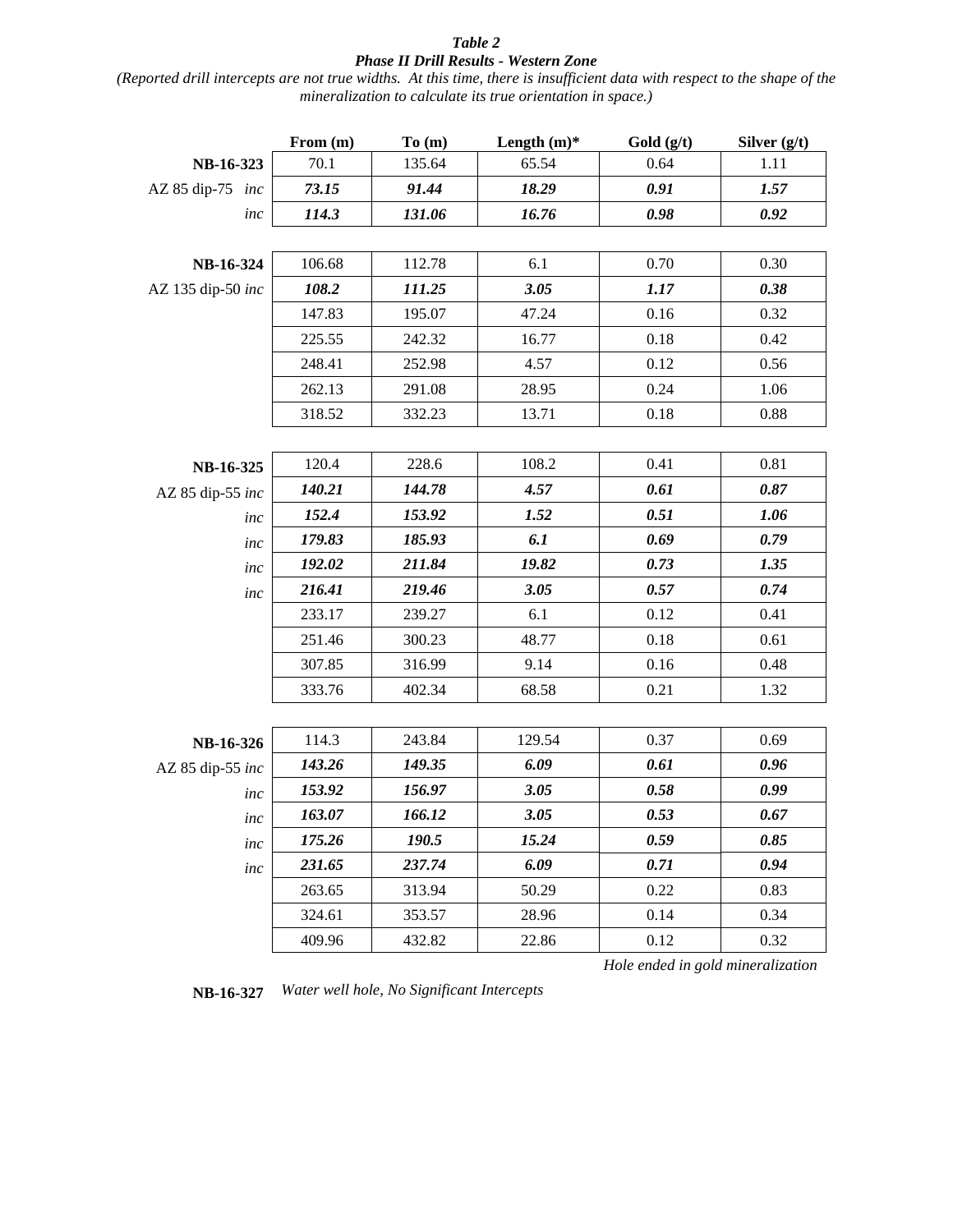# *Table 2 Phase II Drill Results - Western Zone*

*(Reported drill intercepts are not true widths. At this time, there is insufficient data with respect to the shape of the mineralization to calculate its true orientation in space.)*

|                   | From (m) | To(m)  | Length $(m)$ * | Gold $(g/t)$ | Silver $(g/t)$ |
|-------------------|----------|--------|----------------|--------------|----------------|
| NB-16-323         | 70.1     | 135.64 | 65.54          | 0.64         | 1.11           |
| AZ 85 dip-75 inc  | 73.15    | 91.44  | 18.29          | 0.91         | 1.57           |
| inc               | 114.3    | 131.06 | 16.76          | 0.98         | 0.92           |
|                   |          |        |                |              |                |
| NB-16-324         | 106.68   | 112.78 | 6.1            | 0.70         | 0.30           |
| AZ 135 dip-50 inc | 108.2    | 111.25 | 3.05           | 1.17         | 0.38           |
|                   | 147.83   | 195.07 | 47.24          | 0.16         | 0.32           |
|                   | 225.55   | 242.32 | 16.77          | 0.18         | 0.42           |
|                   | 248.41   | 252.98 | 4.57           | 0.12         | 0.56           |
|                   | 262.13   | 291.08 | 28.95          | 0.24         | 1.06           |
|                   | 318.52   | 332.23 | 13.71          | 0.18         | 0.88           |
|                   |          |        |                |              |                |
| NB-16-325         | 120.4    | 228.6  | 108.2          | 0.41         | 0.81           |
| AZ 85 dip-55 inc  | 140.21   | 144.78 | 4.57           | 0.61         | 0.87           |
| inc               | 152.4    | 153.92 | 1.52           | 0.51         | 1.06           |
| inc               | 179.83   | 185.93 | 6.1            | 0.69         | 0.79           |
| inc               | 192.02   | 211.84 | 19.82          | 0.73         | 1.35           |
| inc               | 216.41   | 219.46 | 3.05           | 0.57         | 0.74           |
|                   | 233.17   | 239.27 | 6.1            | 0.12         | 0.41           |
|                   | 251.46   | 300.23 | 48.77          | 0.18         | 0.61           |
|                   | 307.85   | 316.99 | 9.14           | 0.16         | 0.48           |
|                   | 333.76   | 402.34 | 68.58          | 0.21         | 1.32           |
|                   |          |        |                |              |                |
| NB-16-326         | 114.3    | 243.84 | 129.54         | 0.37         | 0.69           |
| AZ 85 dip-55 inc  | 143.26   | 149.35 | 6.09           | 0.61         | 0.96           |
| inc               | 153.92   | 156.97 | 3.05           | 0.58         | 0.99           |
| inc               | 163.07   | 166.12 | 3.05           | 0.53         | 0.67           |
| inc               | 175.26   | 190.5  | 15.24          | 0.59         | 0.85           |
| inc               | 231.65   | 237.74 | 6.09           | 0.71         | 0.94           |
|                   | 263.65   | 313.94 | 50.29          | 0.22         | 0.83           |
|                   | 324.61   | 353.57 | 28.96          | 0.14         | 0.34           |
|                   | 409.96   | 432.82 | 22.86          | 0.12         | 0.32           |

*Hole ended in gold mineralization* 

**NB-16-327** *Water well hole, No Significant Intercepts*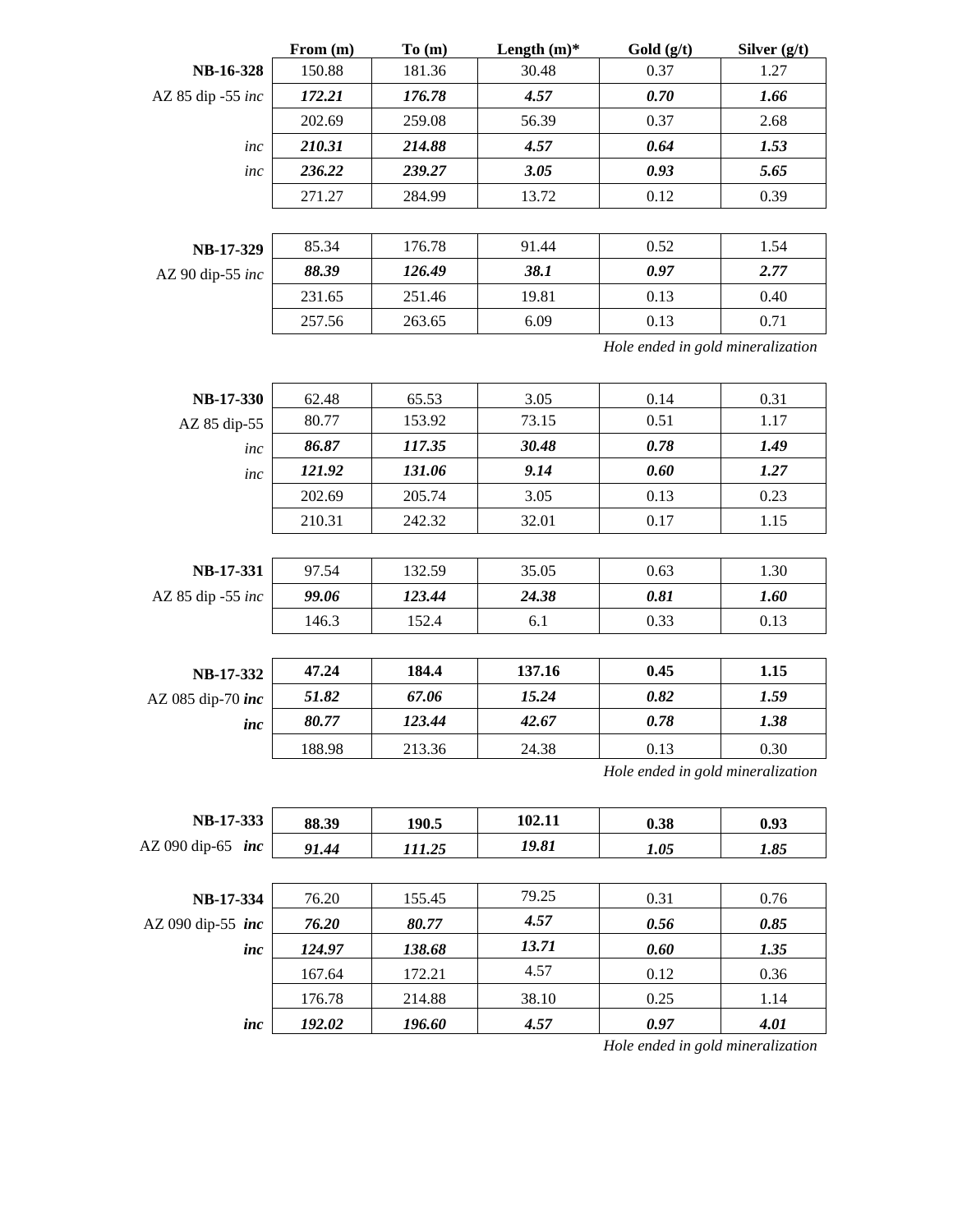|                   | From (m) | To (m) | Length $(m)$ * | Gold (g/t)                        | Silver (g/t) |
|-------------------|----------|--------|----------------|-----------------------------------|--------------|
| NB-16-328         | 150.88   | 181.36 | 30.48          | 0.37                              | 1.27         |
| AZ 85 dip -55 inc | 172.21   | 176.78 | 4.57           | 0.70                              | 1.66         |
|                   | 202.69   | 259.08 | 56.39          | 0.37                              | 2.68         |
| inc               | 210.31   | 214.88 | 4.57           | 0.64                              | 1.53         |
| inc               | 236.22   | 239.27 | 3.05           | 0.93                              | 5.65         |
|                   | 271.27   | 284.99 | 13.72          | 0.12                              | 0.39         |
|                   |          |        |                |                                   |              |
| NB-17-329         | 85.34    | 176.78 | 91.44          | 0.52                              | 1.54         |
| AZ 90 dip-55 inc  | 88.39    | 126.49 | 38.1           | 0.97                              | 2.77         |
|                   | 231.65   | 251.46 | 19.81          | 0.13                              | 0.40         |
|                   | 257.56   | 263.65 | 6.09           | 0.13                              | 0.71         |
|                   |          |        |                | Hole ended in gold mineralization |              |
| <b>NB-17-330</b>  | 62.48    | 65.53  | 3.05           | 0.14                              | 0.31         |
| AZ 85 dip-55      | 80.77    | 153.92 | 73.15          | 0.51                              | 1.17         |
| inc               | 86.87    | 117.35 | 30.48          | 0.78                              | 1.49         |
| inc               | 121.92   | 131.06 | 9.14           | 0.60                              | 1.27         |
|                   | 202.69   | 205.74 | 3.05           | 0.13                              | 0.23         |
|                   | 210.31   | 242.32 | 32.01          | 0.17                              | 1.15         |
|                   |          |        |                |                                   |              |
| NB-17-331         | 97.54    | 132.59 | 35.05          | 0.63                              | 1.30         |
| AZ 85 dip -55 inc | 99.06    | 123.44 | 24.38          | 0.81                              | 1.60         |
|                   | 146.3    | 152.4  | 6.1            | 0.33                              | 0.13         |
|                   |          |        |                |                                   |              |
| NB-17-332         | 47.24    | 184.4  | 137.16         | 0.45                              | 1.15         |
| AZ 085 dip-70 inc | 51.82    | 67.06  | 15.24          | 0.82                              | 1.59         |
| inc               | 80.77    | 123.44 | 42.67          | 0.78                              | 1.38         |
|                   | 188.98   | 213.36 | 24.38          | 0.13                              | 0.30         |
|                   |          |        |                | Hole ended in gold mineralization |              |
| NB-17-333         | 88.39    | 190.5  | 102.11         | 0.38                              | 0.93         |
| AZ 090 dip-65 inc | 91.44    | 111.25 | 19.81          | 1.05                              | 1.85         |
|                   |          |        |                |                                   |              |
| NB-17-334         | 76.20    | 155.45 | 79.25          | 0.31                              | 0.76         |
| AZ 090 dip-55 inc | 76.20    | 80.77  | 4.57           | 0.56                              | 0.85         |
| inc               | 124.97   | 138.68 | 13.71          | 0.60                              | 1.35         |
|                   | 167.64   | 172.21 | 4.57           | 0.12                              | 0.36         |
|                   | 176.78   | 214.88 | 38.10          | 0.25                              | 1.14         |

*inc 192.02 196.60 4.57 0.97 4.01*

*Hole ended in gold mineralization*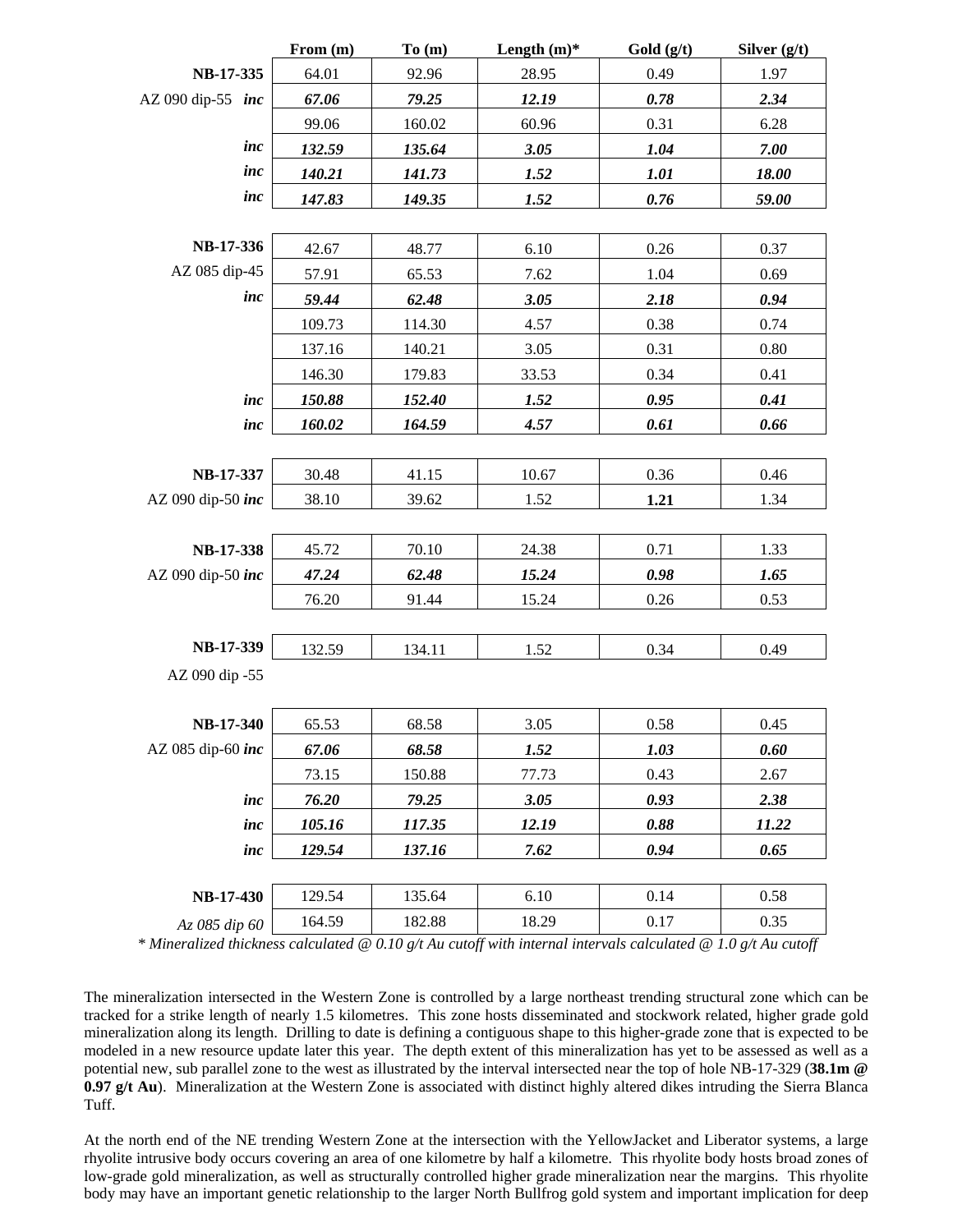|                   | From (m) | To(m)  | Length $(m)$ * | Gold (g/t) | Silver $(g/t)$ |
|-------------------|----------|--------|----------------|------------|----------------|
| NB-17-335         | 64.01    | 92.96  | 28.95          | 0.49       | 1.97           |
| AZ 090 dip-55 inc | 67.06    | 79.25  | 12.19          | 0.78       | 2.34           |
|                   | 99.06    | 160.02 | 60.96          | 0.31       | 6.28           |
| inc               | 132.59   | 135.64 | 3.05           | 1.04       | 7.00           |
| inc               | 140.21   | 141.73 | 1.52           | 1.01       | 18.00          |
| inc               | 147.83   | 149.35 | 1.52           | 0.76       | 59.00          |
|                   |          |        |                |            |                |
| NB-17-336         | 42.67    | 48.77  | 6.10           | 0.26       | 0.37           |
| AZ 085 dip-45     | 57.91    | 65.53  | 7.62           | 1.04       | 0.69           |
| inc               | 59.44    | 62.48  | 3.05           | 2.18       | 0.94           |
|                   | 109.73   | 114.30 | 4.57           | 0.38       | 0.74           |
|                   | 137.16   | 140.21 | 3.05           | 0.31       | 0.80           |
|                   | 146.30   | 179.83 | 33.53          | 0.34       | 0.41           |
| inc               | 150.88   | 152.40 | 1.52           | 0.95       | 0.41           |
| inc               | 160.02   | 164.59 | 4.57           | 0.61       | 0.66           |
|                   |          |        |                |            |                |
| NB-17-337         | 30.48    | 41.15  | 10.67          | 0.36       | 0.46           |
| AZ 090 dip-50 inc | 38.10    | 39.62  | 1.52           | 1.21       | 1.34           |
|                   |          |        |                |            |                |
| NB-17-338         | 45.72    | 70.10  | 24.38          | 0.71       | 1.33           |
| AZ 090 dip-50 inc | 47.24    | 62.48  | 15.24          | 0.98       | 1.65           |
|                   | 76.20    | 91.44  | 15.24          | 0.26       | 0.53           |
|                   |          |        |                |            |                |
| NB-17-339         | 132.59   | 134.11 | 1.52           | 0.34       | 0.49           |
| AZ 090 dip -55    |          |        |                |            |                |
|                   |          |        |                |            |                |
| <b>NB-17-340</b>  | 65.53    | 68.58  | 3.05           | 0.58       | 0.45           |
| AZ 085 dip-60 inc | 67.06    | 68.58  | 1.52           | 1.03       | 0.60           |
|                   | 73.15    | 150.88 | 77.73          | 0.43       | 2.67           |
| inc               | 76.20    | 79.25  | 3.05           | 0.93       | 2.38           |
| inc               | 105.16   | 117.35 | 12.19          | 0.88       | 11.22          |
| inc               | 129.54   | 137.16 | 7.62           | 0.94       | 0.65           |
|                   |          |        |                |            |                |
| <b>NB-17-430</b>  | 129.54   | 135.64 | 6.10           | 0.14       | 0.58           |
| Az 085 dip 60     | 164.59   | 182.88 | 18.29          | 0.17       | 0.35           |

*\* Mineralized thickness calculated @ 0.10 g/t Au cutoff with internal intervals calculated @ 1.0 g/t Au cutoff*

The mineralization intersected in the Western Zone is controlled by a large northeast trending structural zone which can be tracked for a strike length of nearly 1.5 kilometres. This zone hosts disseminated and stockwork related, higher grade gold mineralization along its length. Drilling to date is defining a contiguous shape to this higher-grade zone that is expected to be modeled in a new resource update later this year. The depth extent of this mineralization has yet to be assessed as well as a potential new, sub parallel zone to the west as illustrated by the interval intersected near the top of hole NB-17-329 (**38.1m @ 0.97 g/t Au**). Mineralization at the Western Zone is associated with distinct highly altered dikes intruding the Sierra Blanca Tuff.

At the north end of the NE trending Western Zone at the intersection with the YellowJacket and Liberator systems, a large rhyolite intrusive body occurs covering an area of one kilometre by half a kilometre. This rhyolite body hosts broad zones of low-grade gold mineralization, as well as structurally controlled higher grade mineralization near the margins. This rhyolite body may have an important genetic relationship to the larger North Bullfrog gold system and important implication for deep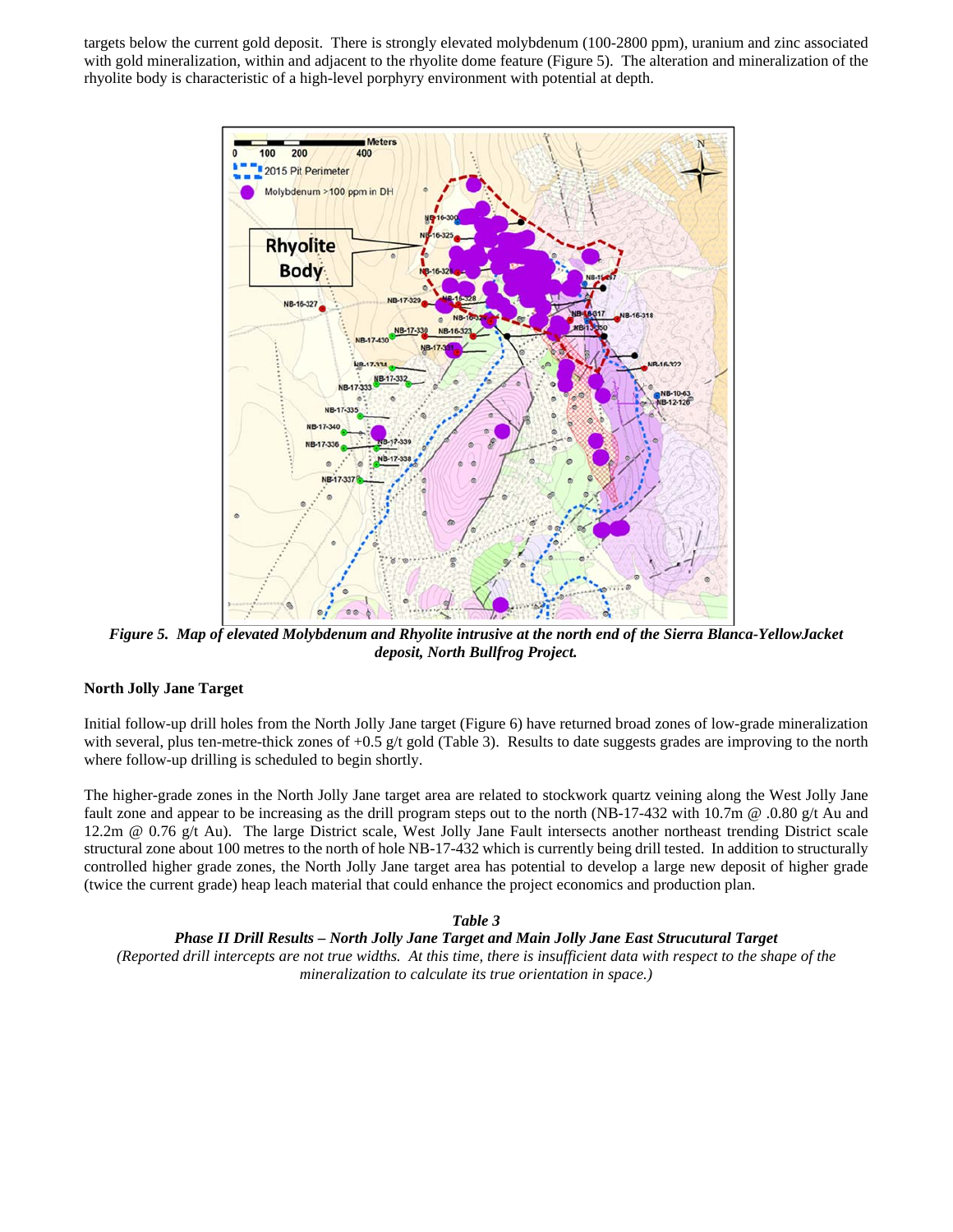targets below the current gold deposit. There is strongly elevated molybdenum (100-2800 ppm), uranium and zinc associated with gold mineralization, within and adjacent to the rhyolite dome feature (Figure 5). The alteration and mineralization of the rhyolite body is characteristic of a high-level porphyry environment with potential at depth.



*Figure 5. Map of elevated Molybdenum and Rhyolite intrusive at the north end of the Sierra Blanca-YellowJacket deposit, North Bullfrog Project.* 

# **North Jolly Jane Target**

Initial follow-up drill holes from the North Jolly Jane target (Figure 6) have returned broad zones of low-grade mineralization with several, plus ten-metre-thick zones of  $+0.5$  g/t gold (Table 3). Results to date suggests grades are improving to the north where follow-up drilling is scheduled to begin shortly.

The higher-grade zones in the North Jolly Jane target area are related to stockwork quartz veining along the West Jolly Jane fault zone and appear to be increasing as the drill program steps out to the north (NB-17-432 with 10.7m @ .0.80 g/t Au and 12.2m @ 0.76 g/t Au). The large District scale, West Jolly Jane Fault intersects another northeast trending District scale structural zone about 100 metres to the north of hole NB-17-432 which is currently being drill tested. In addition to structurally controlled higher grade zones, the North Jolly Jane target area has potential to develop a large new deposit of higher grade (twice the current grade) heap leach material that could enhance the project economics and production plan.

#### *Table 3*

#### *Phase II Drill Results – North Jolly Jane Target and Main Jolly Jane East Strucutural Target*

*(Reported drill intercepts are not true widths. At this time, there is insufficient data with respect to the shape of the mineralization to calculate its true orientation in space.)*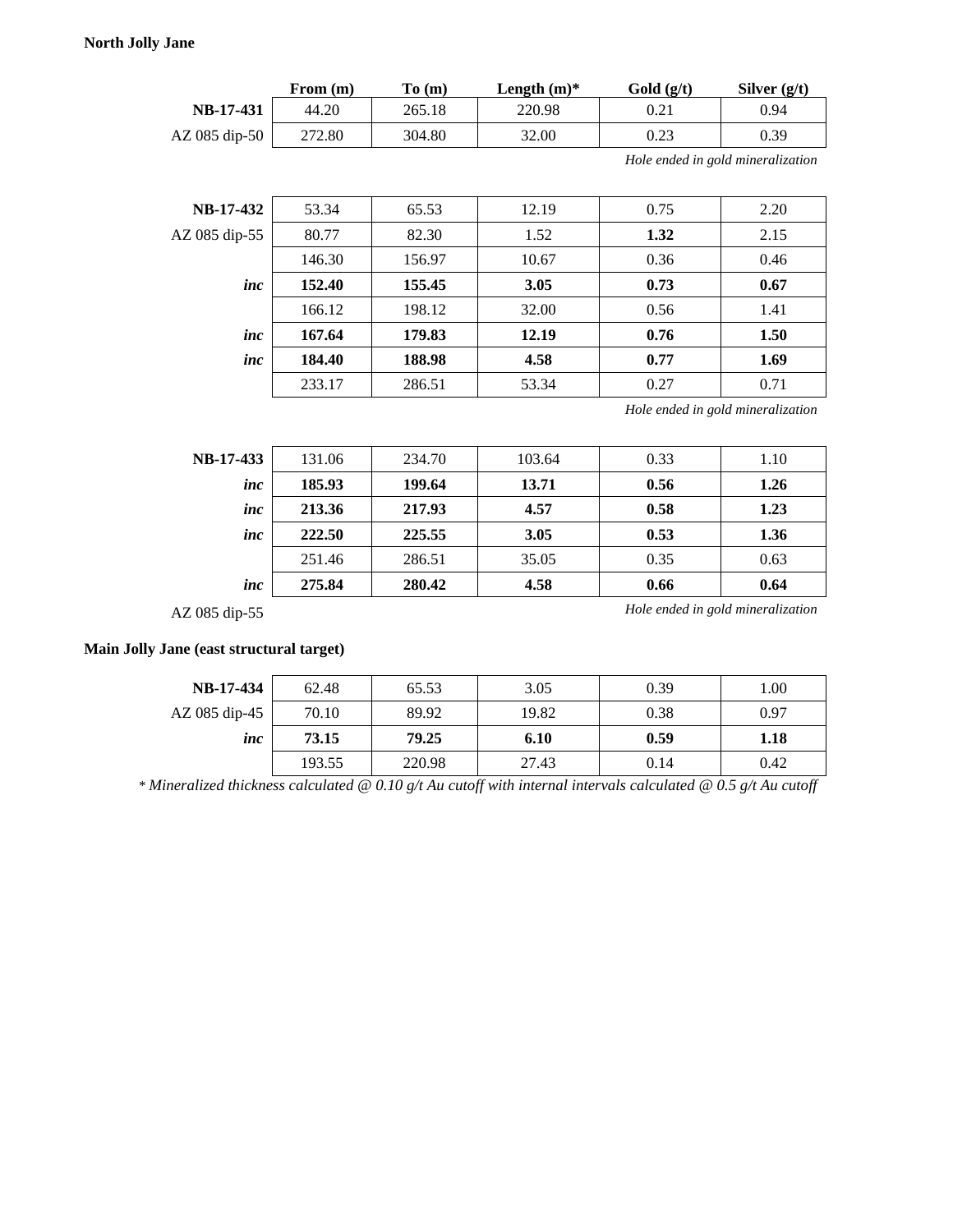# **North Jolly Jane**

|                 | From $(m)$ | To(m)  | Length $(m)^*$ | Gold(g/t) | Silver $(g/t)$ |
|-----------------|------------|--------|----------------|-----------|----------------|
| NB-17-431       | 44.20      | 265.18 | 220.98         | 0.21      | 0.94           |
| $AZ$ 085 dip-50 | 272.80     | 304.80 | 32.00          | 0.23      | 0.39           |

*Hole ended in gold mineralization* 

| <b>NB-17-432</b> | 53.34  | 65.53  | 12.19 | 0.75 | 2.20 |
|------------------|--------|--------|-------|------|------|
| AZ 085 dip-55    | 80.77  | 82.30  | 1.52  | 1.32 | 2.15 |
|                  | 146.30 | 156.97 | 10.67 | 0.36 | 0.46 |
| inc              | 152.40 | 155.45 | 3.05  | 0.73 | 0.67 |
|                  | 166.12 | 198.12 | 32.00 | 0.56 | 1.41 |
| inc              | 167.64 | 179.83 | 12.19 | 0.76 | 1.50 |
| inc              | 184.40 | 188.98 | 4.58  | 0.77 | 1.69 |
|                  | 233.17 | 286.51 | 53.34 | 0.27 | 0.71 |

*Hole ended in gold mineralization* 

| NB-17-433 | 131.06 | 234.70 | 103.64 | 0.33 | 1.10 |
|-----------|--------|--------|--------|------|------|
| inc       | 185.93 | 199.64 | 13.71  | 0.56 | 1.26 |
| inc       | 213.36 | 217.93 | 4.57   | 0.58 | 1.23 |
| inc       | 222.50 | 225.55 | 3.05   | 0.53 | 1.36 |
|           | 251.46 | 286.51 | 35.05  | 0.35 | 0.63 |
| inc       | 275.84 | 280.42 | 4.58   | 0.66 | 0.64 |

AZ 085 dip-55 *Hole ended in gold mineralization* 

### **Main Jolly Jane (east structural target)**

| <b>NB-17-434</b> | 62.48  | 65.53  | 3.05  | 0.39 | 1.00 |
|------------------|--------|--------|-------|------|------|
| AZ 085 dip-45    | 70.10  | 89.92  | 19.82 | 0.38 | 0.97 |
| inc              | 73.15  | 79.25  | 6.10  | 0.59 | 1.18 |
|                  | 193.55 | 220.98 | 27.43 | 0.14 | 0.42 |

*\* Mineralized thickness calculated @ 0.10 g/t Au cutoff with internal intervals calculated @ 0.5 g/t Au cutoff*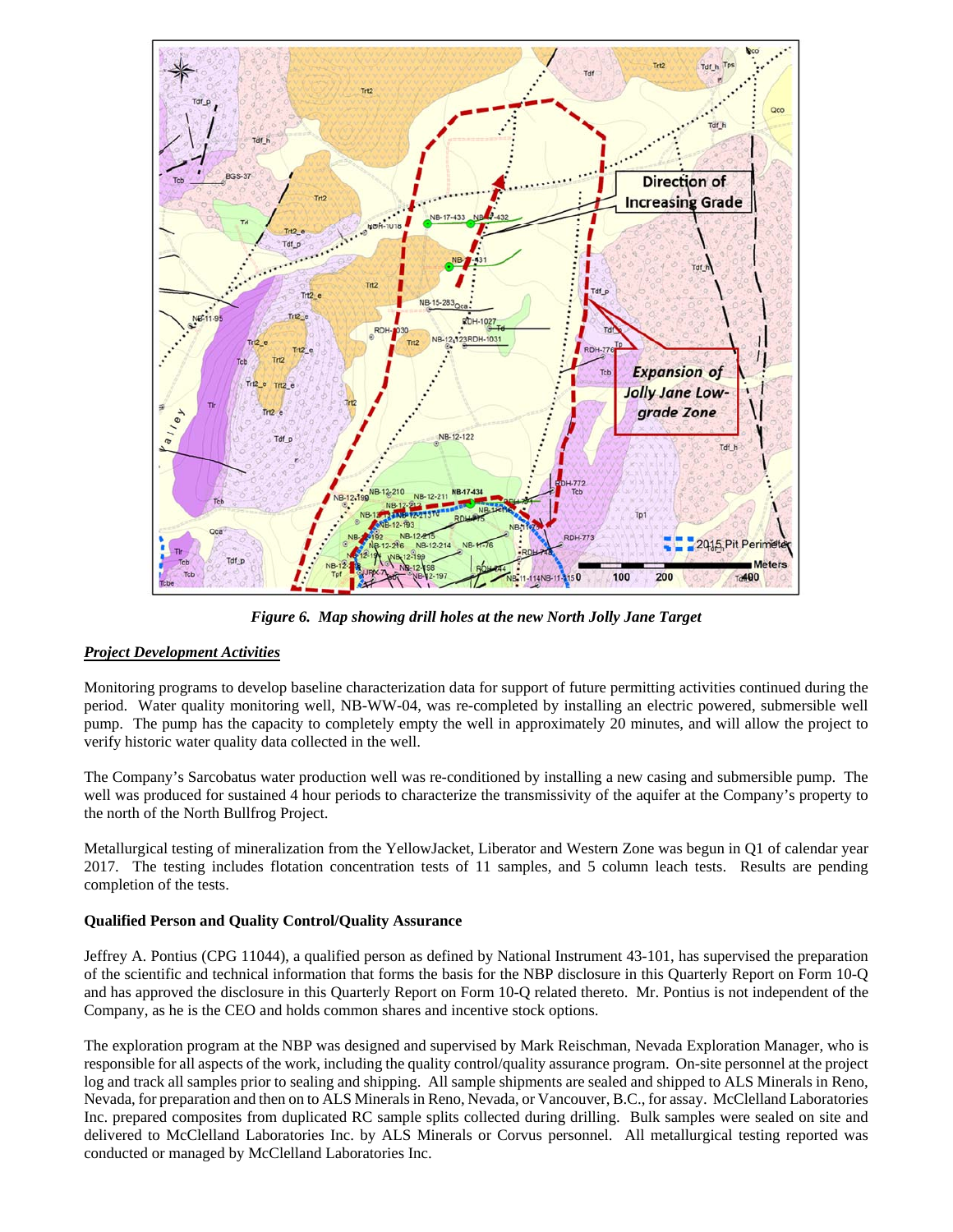

*Figure 6. Map showing drill holes at the new North Jolly Jane Target* 

# *Project Development Activities*

Monitoring programs to develop baseline characterization data for support of future permitting activities continued during the period. Water quality monitoring well, NB-WW-04, was re-completed by installing an electric powered, submersible well pump. The pump has the capacity to completely empty the well in approximately 20 minutes, and will allow the project to verify historic water quality data collected in the well.

The Company's Sarcobatus water production well was re-conditioned by installing a new casing and submersible pump. The well was produced for sustained 4 hour periods to characterize the transmissivity of the aquifer at the Company's property to the north of the North Bullfrog Project.

Metallurgical testing of mineralization from the YellowJacket, Liberator and Western Zone was begun in Q1 of calendar year 2017. The testing includes flotation concentration tests of 11 samples, and 5 column leach tests. Results are pending completion of the tests.

# **Qualified Person and Quality Control/Quality Assurance**

Jeffrey A. Pontius (CPG 11044), a qualified person as defined by National Instrument 43-101, has supervised the preparation of the scientific and technical information that forms the basis for the NBP disclosure in this Quarterly Report on Form 10-Q and has approved the disclosure in this Quarterly Report on Form 10-Q related thereto. Mr. Pontius is not independent of the Company, as he is the CEO and holds common shares and incentive stock options.

The exploration program at the NBP was designed and supervised by Mark Reischman, Nevada Exploration Manager, who is responsible for all aspects of the work, including the quality control/quality assurance program. On-site personnel at the project log and track all samples prior to sealing and shipping. All sample shipments are sealed and shipped to ALS Minerals in Reno, Nevada, for preparation and then on to ALS Minerals in Reno, Nevada, or Vancouver, B.C., for assay. McClelland Laboratories Inc. prepared composites from duplicated RC sample splits collected during drilling. Bulk samples were sealed on site and delivered to McClelland Laboratories Inc. by ALS Minerals or Corvus personnel. All metallurgical testing reported was conducted or managed by McClelland Laboratories Inc.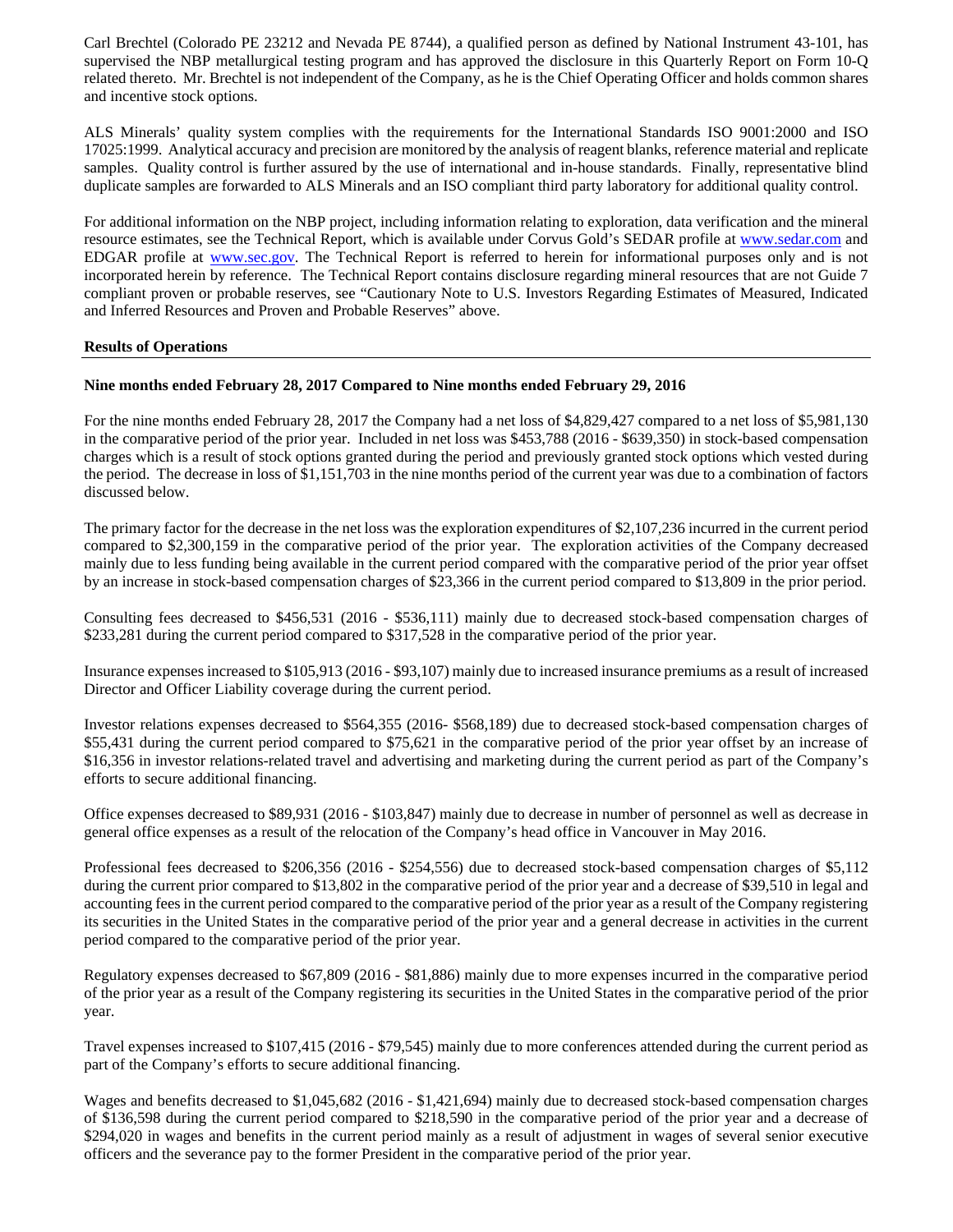Carl Brechtel (Colorado PE 23212 and Nevada PE 8744), a qualified person as defined by National Instrument 43-101, has supervised the NBP metallurgical testing program and has approved the disclosure in this Quarterly Report on Form 10-Q related thereto. Mr. Brechtel is not independent of the Company, as he is the Chief Operating Officer and holds common shares and incentive stock options.

ALS Minerals' quality system complies with the requirements for the International Standards ISO 9001:2000 and ISO 17025:1999. Analytical accuracy and precision are monitored by the analysis of reagent blanks, reference material and replicate samples. Quality control is further assured by the use of international and in-house standards. Finally, representative blind duplicate samples are forwarded to ALS Minerals and an ISO compliant third party laboratory for additional quality control.

For additional information on the NBP project, including information relating to exploration, data verification and the mineral resource estimates, see the Technical Report, which is available under Corvus Gold's SEDAR profile at www.sedar.com and EDGAR profile at www.sec.gov. The Technical Report is referred to herein for informational purposes only and is not incorporated herein by reference. The Technical Report contains disclosure regarding mineral resources that are not Guide 7 compliant proven or probable reserves, see "Cautionary Note to U.S. Investors Regarding Estimates of Measured, Indicated and Inferred Resources and Proven and Probable Reserves" above.

### **Results of Operations**

# **Nine months ended February 28, 2017 Compared to Nine months ended February 29, 2016**

For the nine months ended February 28, 2017 the Company had a net loss of \$4,829,427 compared to a net loss of \$5,981,130 in the comparative period of the prior year. Included in net loss was \$453,788 (2016 - \$639,350) in stock-based compensation charges which is a result of stock options granted during the period and previously granted stock options which vested during the period. The decrease in loss of \$1,151,703 in the nine months period of the current year was due to a combination of factors discussed below.

The primary factor for the decrease in the net loss was the exploration expenditures of \$2,107,236 incurred in the current period compared to \$2,300,159 in the comparative period of the prior year. The exploration activities of the Company decreased mainly due to less funding being available in the current period compared with the comparative period of the prior year offset by an increase in stock-based compensation charges of \$23,366 in the current period compared to \$13,809 in the prior period.

Consulting fees decreased to \$456,531 (2016 - \$536,111) mainly due to decreased stock-based compensation charges of \$233,281 during the current period compared to \$317,528 in the comparative period of the prior year.

Insurance expenses increased to \$105,913 (2016 - \$93,107) mainly due to increased insurance premiums as a result of increased Director and Officer Liability coverage during the current period.

Investor relations expenses decreased to \$564,355 (2016- \$568,189) due to decreased stock-based compensation charges of \$55,431 during the current period compared to \$75,621 in the comparative period of the prior year offset by an increase of \$16,356 in investor relations-related travel and advertising and marketing during the current period as part of the Company's efforts to secure additional financing.

Office expenses decreased to \$89,931 (2016 - \$103,847) mainly due to decrease in number of personnel as well as decrease in general office expenses as a result of the relocation of the Company's head office in Vancouver in May 2016.

Professional fees decreased to \$206,356 (2016 - \$254,556) due to decreased stock-based compensation charges of \$5,112 during the current prior compared to \$13,802 in the comparative period of the prior year and a decrease of \$39,510 in legal and accounting fees in the current period compared to the comparative period of the prior year as a result of the Company registering its securities in the United States in the comparative period of the prior year and a general decrease in activities in the current period compared to the comparative period of the prior year.

Regulatory expenses decreased to \$67,809 (2016 - \$81,886) mainly due to more expenses incurred in the comparative period of the prior year as a result of the Company registering its securities in the United States in the comparative period of the prior year.

Travel expenses increased to \$107,415 (2016 - \$79,545) mainly due to more conferences attended during the current period as part of the Company's efforts to secure additional financing.

Wages and benefits decreased to \$1,045,682 (2016 - \$1,421,694) mainly due to decreased stock-based compensation charges of \$136,598 during the current period compared to \$218,590 in the comparative period of the prior year and a decrease of \$294,020 in wages and benefits in the current period mainly as a result of adjustment in wages of several senior executive officers and the severance pay to the former President in the comparative period of the prior year.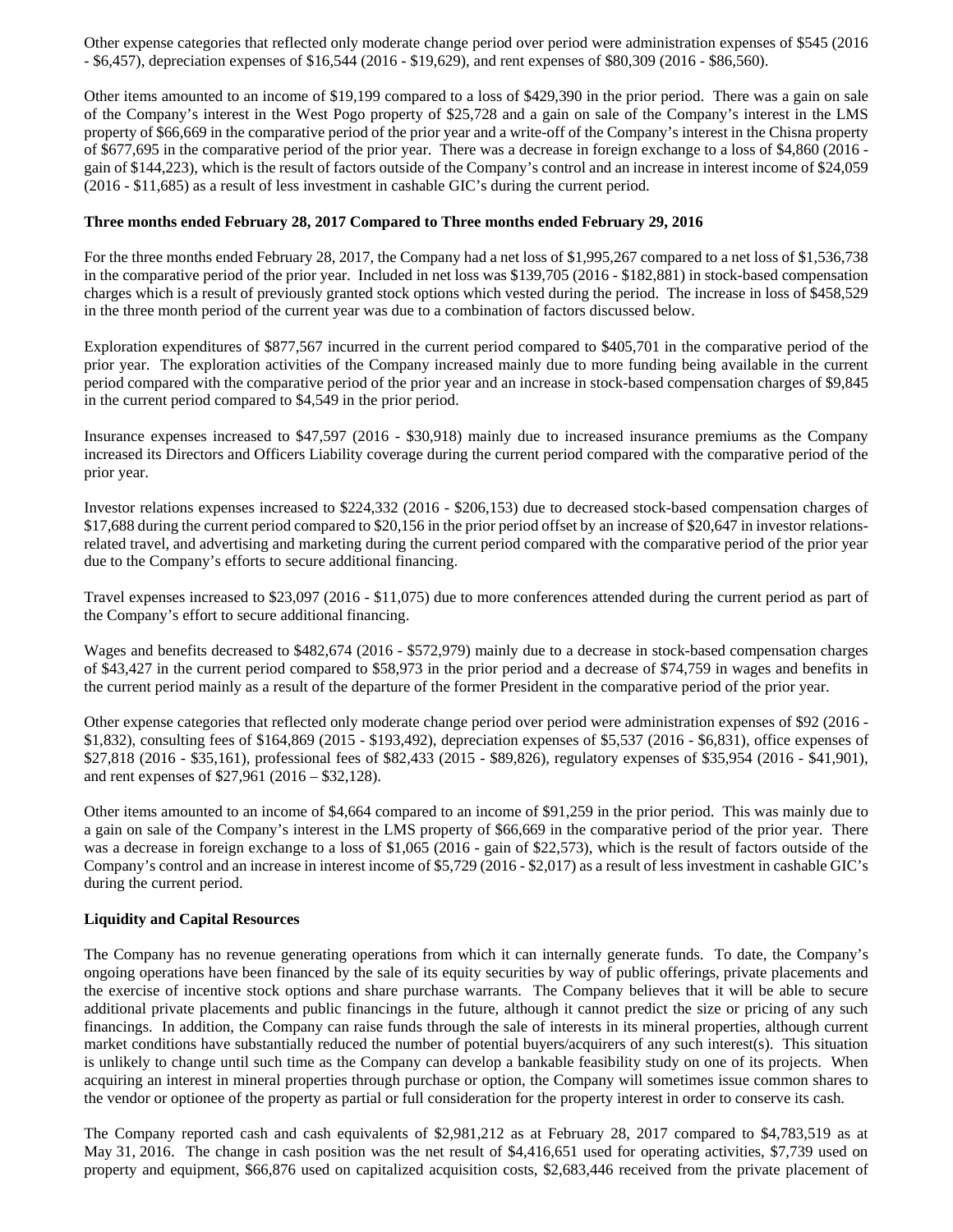Other expense categories that reflected only moderate change period over period were administration expenses of \$545 (2016 - \$6,457), depreciation expenses of \$16,544 (2016 - \$19,629), and rent expenses of \$80,309 (2016 - \$86,560).

Other items amounted to an income of \$19,199 compared to a loss of \$429,390 in the prior period. There was a gain on sale of the Company's interest in the West Pogo property of \$25,728 and a gain on sale of the Company's interest in the LMS property of \$66,669 in the comparative period of the prior year and a write-off of the Company's interest in the Chisna property of \$677,695 in the comparative period of the prior year. There was a decrease in foreign exchange to a loss of \$4,860 (2016 gain of \$144,223), which is the result of factors outside of the Company's control and an increase in interest income of \$24,059 (2016 - \$11,685) as a result of less investment in cashable GIC's during the current period.

### **Three months ended February 28, 2017 Compared to Three months ended February 29, 2016**

For the three months ended February 28, 2017, the Company had a net loss of \$1,995,267 compared to a net loss of \$1,536,738 in the comparative period of the prior year. Included in net loss was \$139,705 (2016 - \$182,881) in stock-based compensation charges which is a result of previously granted stock options which vested during the period. The increase in loss of \$458,529 in the three month period of the current year was due to a combination of factors discussed below.

Exploration expenditures of \$877,567 incurred in the current period compared to \$405,701 in the comparative period of the prior year. The exploration activities of the Company increased mainly due to more funding being available in the current period compared with the comparative period of the prior year and an increase in stock-based compensation charges of \$9,845 in the current period compared to \$4,549 in the prior period.

Insurance expenses increased to \$47,597 (2016 - \$30,918) mainly due to increased insurance premiums as the Company increased its Directors and Officers Liability coverage during the current period compared with the comparative period of the prior year.

Investor relations expenses increased to \$224,332 (2016 - \$206,153) due to decreased stock-based compensation charges of \$17,688 during the current period compared to \$20,156 in the prior period offset by an increase of \$20,647 in investor relationsrelated travel, and advertising and marketing during the current period compared with the comparative period of the prior year due to the Company's efforts to secure additional financing.

Travel expenses increased to \$23,097 (2016 - \$11,075) due to more conferences attended during the current period as part of the Company's effort to secure additional financing.

Wages and benefits decreased to \$482,674 (2016 - \$572,979) mainly due to a decrease in stock-based compensation charges of \$43,427 in the current period compared to \$58,973 in the prior period and a decrease of \$74,759 in wages and benefits in the current period mainly as a result of the departure of the former President in the comparative period of the prior year.

Other expense categories that reflected only moderate change period over period were administration expenses of \$92 (2016 - \$1,832), consulting fees of \$164,869 (2015 - \$193,492), depreciation expenses of \$5,537 (2016 - \$6,831), office expenses of \$27,818 (2016 - \$35,161), professional fees of \$82,433 (2015 - \$89,826), regulatory expenses of \$35,954 (2016 - \$41,901), and rent expenses of \$27,961 (2016 – \$32,128).

Other items amounted to an income of \$4,664 compared to an income of \$91,259 in the prior period. This was mainly due to a gain on sale of the Company's interest in the LMS property of \$66,669 in the comparative period of the prior year. There was a decrease in foreign exchange to a loss of \$1,065 (2016 - gain of \$22,573), which is the result of factors outside of the Company's control and an increase in interest income of \$5,729 (2016 - \$2,017) as a result of less investment in cashable GIC's during the current period.

# **Liquidity and Capital Resources**

The Company has no revenue generating operations from which it can internally generate funds. To date, the Company's ongoing operations have been financed by the sale of its equity securities by way of public offerings, private placements and the exercise of incentive stock options and share purchase warrants. The Company believes that it will be able to secure additional private placements and public financings in the future, although it cannot predict the size or pricing of any such financings. In addition, the Company can raise funds through the sale of interests in its mineral properties, although current market conditions have substantially reduced the number of potential buyers/acquirers of any such interest(s). This situation is unlikely to change until such time as the Company can develop a bankable feasibility study on one of its projects. When acquiring an interest in mineral properties through purchase or option, the Company will sometimes issue common shares to the vendor or optionee of the property as partial or full consideration for the property interest in order to conserve its cash.

The Company reported cash and cash equivalents of \$2,981,212 as at February 28, 2017 compared to \$4,783,519 as at May 31, 2016. The change in cash position was the net result of \$4,416,651 used for operating activities, \$7,739 used on property and equipment, \$66,876 used on capitalized acquisition costs, \$2,683,446 received from the private placement of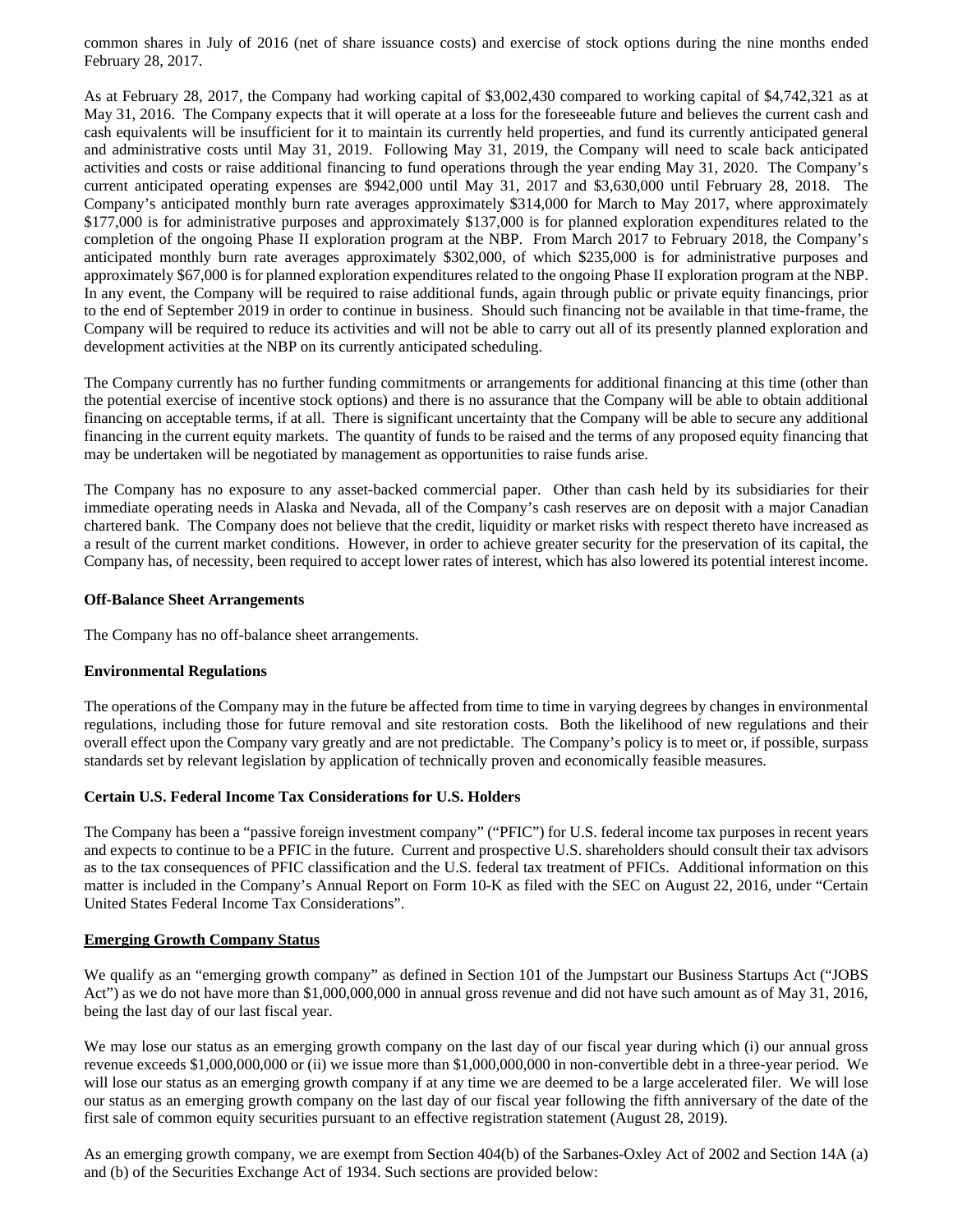common shares in July of 2016 (net of share issuance costs) and exercise of stock options during the nine months ended February 28, 2017.

As at February 28, 2017, the Company had working capital of \$3,002,430 compared to working capital of \$4,742,321 as at May 31, 2016. The Company expects that it will operate at a loss for the foreseeable future and believes the current cash and cash equivalents will be insufficient for it to maintain its currently held properties, and fund its currently anticipated general and administrative costs until May 31, 2019. Following May 31, 2019, the Company will need to scale back anticipated activities and costs or raise additional financing to fund operations through the year ending May 31, 2020. The Company's current anticipated operating expenses are \$942,000 until May 31, 2017 and \$3,630,000 until February 28, 2018. The Company's anticipated monthly burn rate averages approximately \$314,000 for March to May 2017, where approximately \$177,000 is for administrative purposes and approximately \$137,000 is for planned exploration expenditures related to the completion of the ongoing Phase II exploration program at the NBP. From March 2017 to February 2018, the Company's anticipated monthly burn rate averages approximately \$302,000, of which \$235,000 is for administrative purposes and approximately \$67,000 is for planned exploration expenditures related to the ongoing Phase II exploration program at the NBP. In any event, the Company will be required to raise additional funds, again through public or private equity financings, prior to the end of September 2019 in order to continue in business. Should such financing not be available in that time-frame, the Company will be required to reduce its activities and will not be able to carry out all of its presently planned exploration and development activities at the NBP on its currently anticipated scheduling.

The Company currently has no further funding commitments or arrangements for additional financing at this time (other than the potential exercise of incentive stock options) and there is no assurance that the Company will be able to obtain additional financing on acceptable terms, if at all. There is significant uncertainty that the Company will be able to secure any additional financing in the current equity markets. The quantity of funds to be raised and the terms of any proposed equity financing that may be undertaken will be negotiated by management as opportunities to raise funds arise.

The Company has no exposure to any asset-backed commercial paper. Other than cash held by its subsidiaries for their immediate operating needs in Alaska and Nevada, all of the Company's cash reserves are on deposit with a major Canadian chartered bank. The Company does not believe that the credit, liquidity or market risks with respect thereto have increased as a result of the current market conditions. However, in order to achieve greater security for the preservation of its capital, the Company has, of necessity, been required to accept lower rates of interest, which has also lowered its potential interest income.

### **Off-Balance Sheet Arrangements**

The Company has no off-balance sheet arrangements.

# **Environmental Regulations**

The operations of the Company may in the future be affected from time to time in varying degrees by changes in environmental regulations, including those for future removal and site restoration costs. Both the likelihood of new regulations and their overall effect upon the Company vary greatly and are not predictable. The Company's policy is to meet or, if possible, surpass standards set by relevant legislation by application of technically proven and economically feasible measures.

# **Certain U.S. Federal Income Tax Considerations for U.S. Holders**

The Company has been a "passive foreign investment company" ("PFIC") for U.S. federal income tax purposes in recent years and expects to continue to be a PFIC in the future. Current and prospective U.S. shareholders should consult their tax advisors as to the tax consequences of PFIC classification and the U.S. federal tax treatment of PFICs. Additional information on this matter is included in the Company's Annual Report on Form 10-K as filed with the SEC on August 22, 2016, under "Certain United States Federal Income Tax Considerations".

#### **Emerging Growth Company Status**

We qualify as an "emerging growth company" as defined in Section 101 of the Jumpstart our Business Startups Act ("JOBS Act") as we do not have more than \$1,000,000,000 in annual gross revenue and did not have such amount as of May 31, 2016, being the last day of our last fiscal year.

We may lose our status as an emerging growth company on the last day of our fiscal year during which (i) our annual gross revenue exceeds \$1,000,000,000 or (ii) we issue more than \$1,000,000,000 in non-convertible debt in a three-year period. We will lose our status as an emerging growth company if at any time we are deemed to be a large accelerated filer. We will lose our status as an emerging growth company on the last day of our fiscal year following the fifth anniversary of the date of the first sale of common equity securities pursuant to an effective registration statement (August 28, 2019).

As an emerging growth company, we are exempt from Section 404(b) of the Sarbanes-Oxley Act of 2002 and Section 14A (a) and (b) of the Securities Exchange Act of 1934. Such sections are provided below: